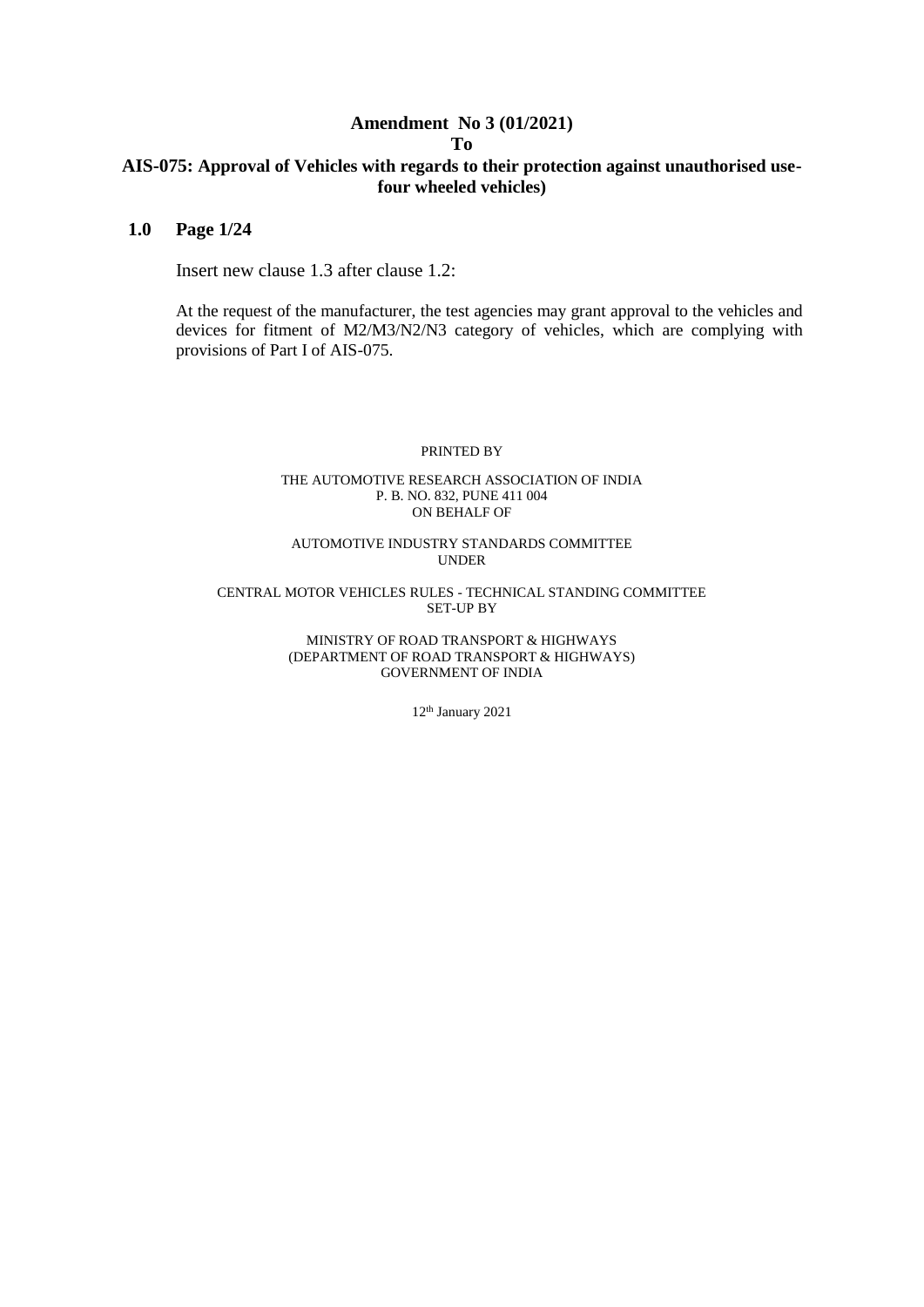# **Amendment No 3 (01/2021) To**

# **AIS-075: Approval of Vehicles with regards to their protection against unauthorised usefour wheeled vehicles)**

# **1.0 Page 1/24**

Insert new clause 1.3 after clause 1.2:

At the request of the manufacturer, the test agencies may grant approval to the vehicles and devices for fitment of M2/M3/N2/N3 category of vehicles, which are complying with provisions of Part I of AIS-075.

#### PRINTED BY

#### THE AUTOMOTIVE RESEARCH ASSOCIATION OF INDIA P. B. NO. 832, PUNE 411 004 ON BEHALF OF

#### AUTOMOTIVE INDUSTRY STANDARDS COMMITTEE UNDER

#### CENTRAL MOTOR VEHICLES RULES - TECHNICAL STANDING COMMITTEE SET-UP BY

#### MINISTRY OF ROAD TRANSPORT & HIGHWAYS (DEPARTMENT OF ROAD TRANSPORT & HIGHWAYS) GOVERNMENT OF INDIA

12th January 2021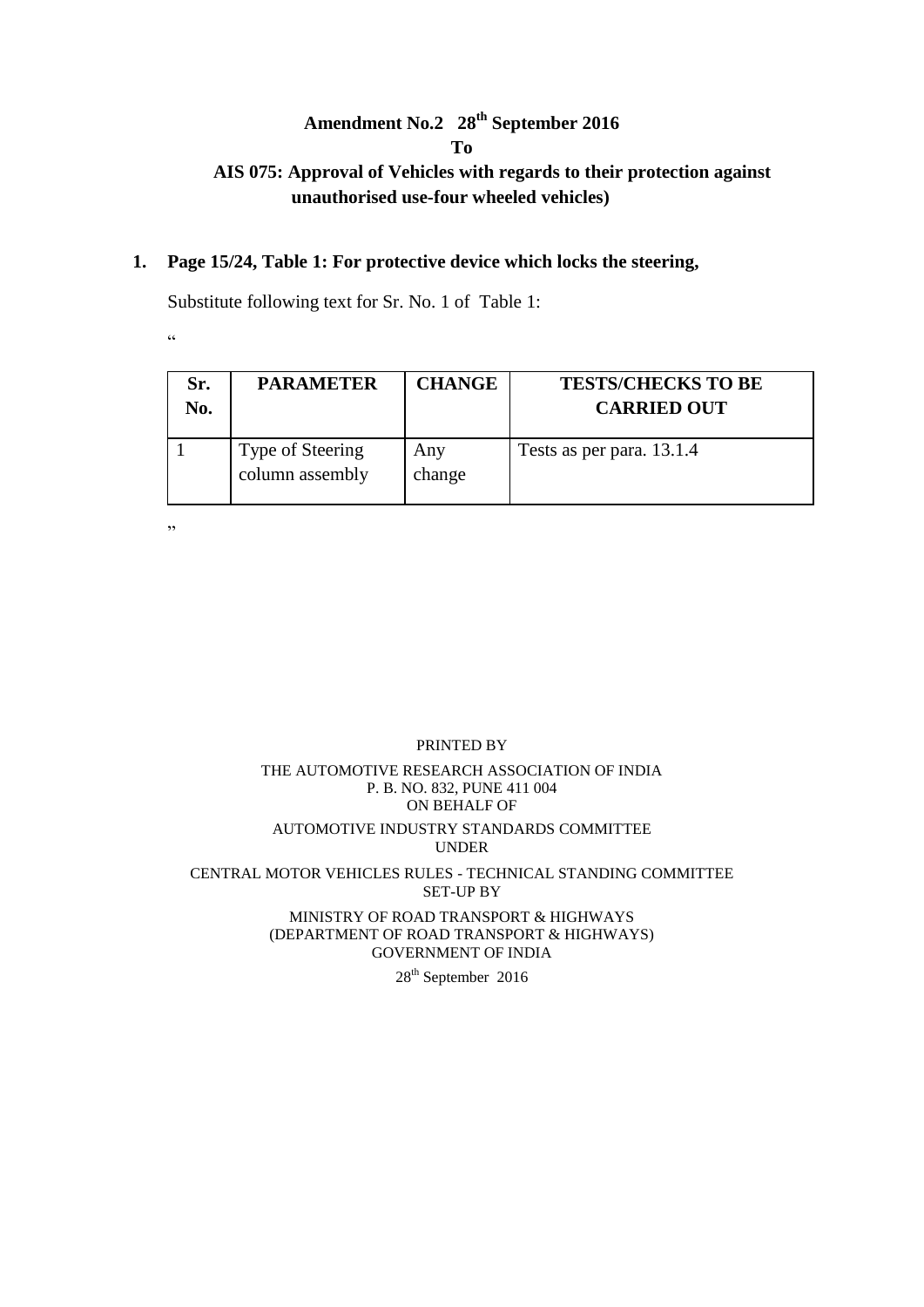# **Amendment No.2 28th September 2016**

**To**

# **AIS 075: Approval of Vehicles with regards to their protection against unauthorised use-four wheeled vehicles)**

# **1. Page 15/24, Table 1: For protective device which locks the steering,**

Substitute following text for Sr. No. 1 of Table 1:

 $\alpha$ 

| Sr.<br>No. | <b>PARAMETER</b>                    | <b>CHANGE</b> | <b>TESTS/CHECKS TO BE</b><br><b>CARRIED OUT</b> |
|------------|-------------------------------------|---------------|-------------------------------------------------|
|            | Type of Steering<br>column assembly | Any<br>change | Tests as per para. 13.1.4                       |

"

# PRINTED BY THE AUTOMOTIVE RESEARCH ASSOCIATION OF INDIA P. B. NO. 832, PUNE 411 004 ON BEHALF OF AUTOMOTIVE INDUSTRY STANDARDS COMMITTEE UNDER CENTRAL MOTOR VEHICLES RULES - TECHNICAL STANDING COMMITTEE SET-UP BY

## MINISTRY OF ROAD TRANSPORT & HIGHWAYS (DEPARTMENT OF ROAD TRANSPORT & HIGHWAYS) GOVERNMENT OF INDIA

28<sup>th</sup> September 2016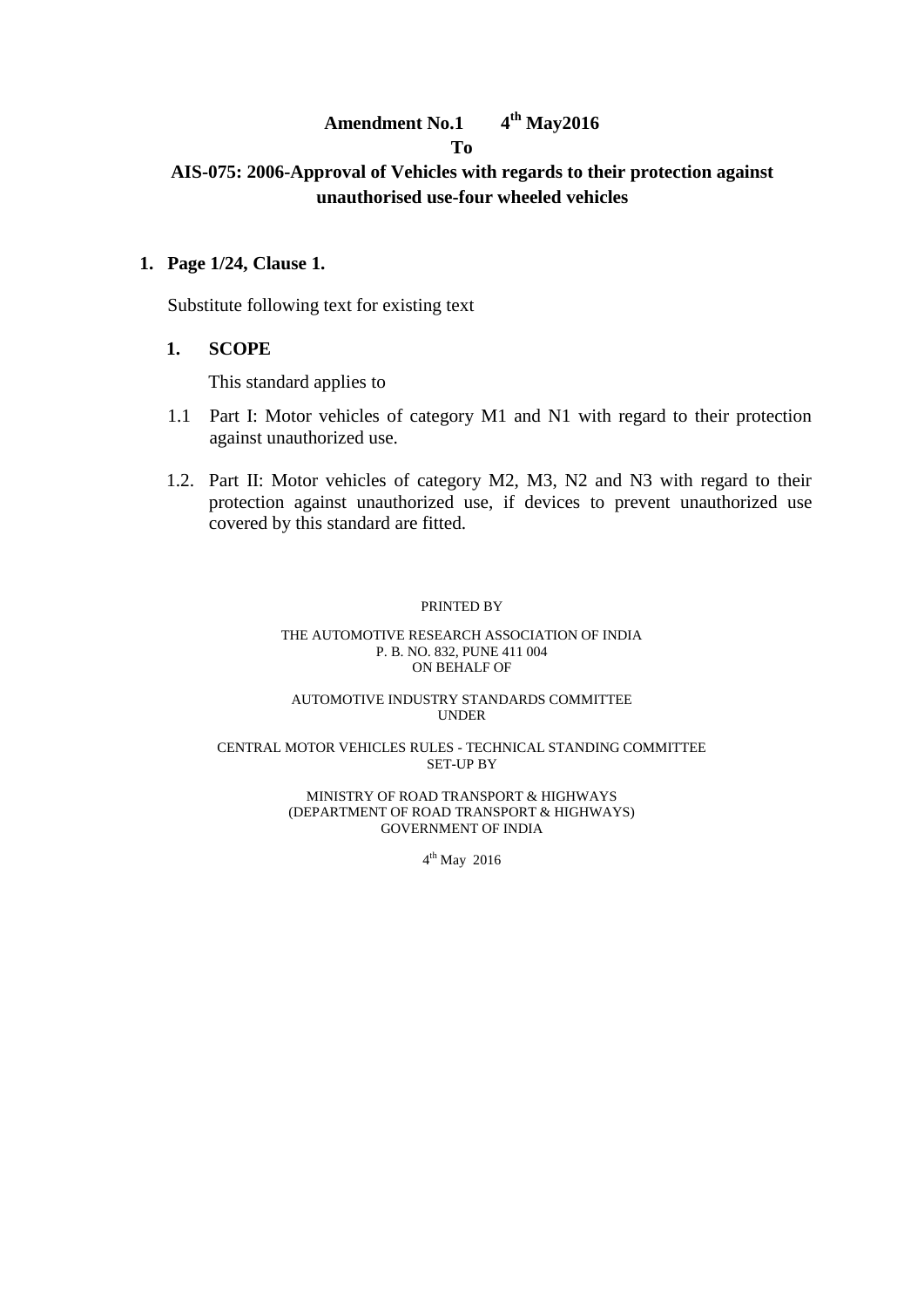#### **Amendment No.1 4 th May2016**

# **To**

# **AIS-075: 2006-Approval of Vehicles with regards to their protection against unauthorised use-four wheeled vehicles**

# **1. Page 1/24, Clause 1.**

Substitute following text for existing text

# **1. SCOPE**

This standard applies to

- 1.1 Part I: Motor vehicles of category M1 and N1 with regard to their protection against unauthorized use.
- 1.2. Part II: Motor vehicles of category M2, M3, N2 and N3 with regard to their protection against unauthorized use, if devices to prevent unauthorized use covered by this standard are fitted.

#### PRINTED BY

#### THE AUTOMOTIVE RESEARCH ASSOCIATION OF INDIA P. B. NO. 832, PUNE 411 004 ON BEHALF OF

#### AUTOMOTIVE INDUSTRY STANDARDS COMMITTEE UNDER

#### CENTRAL MOTOR VEHICLES RULES - TECHNICAL STANDING COMMITTEE SET-UP BY

#### MINISTRY OF ROAD TRANSPORT & HIGHWAYS (DEPARTMENT OF ROAD TRANSPORT & HIGHWAYS) GOVERNMENT OF INDIA

4<sup>th</sup> May 2016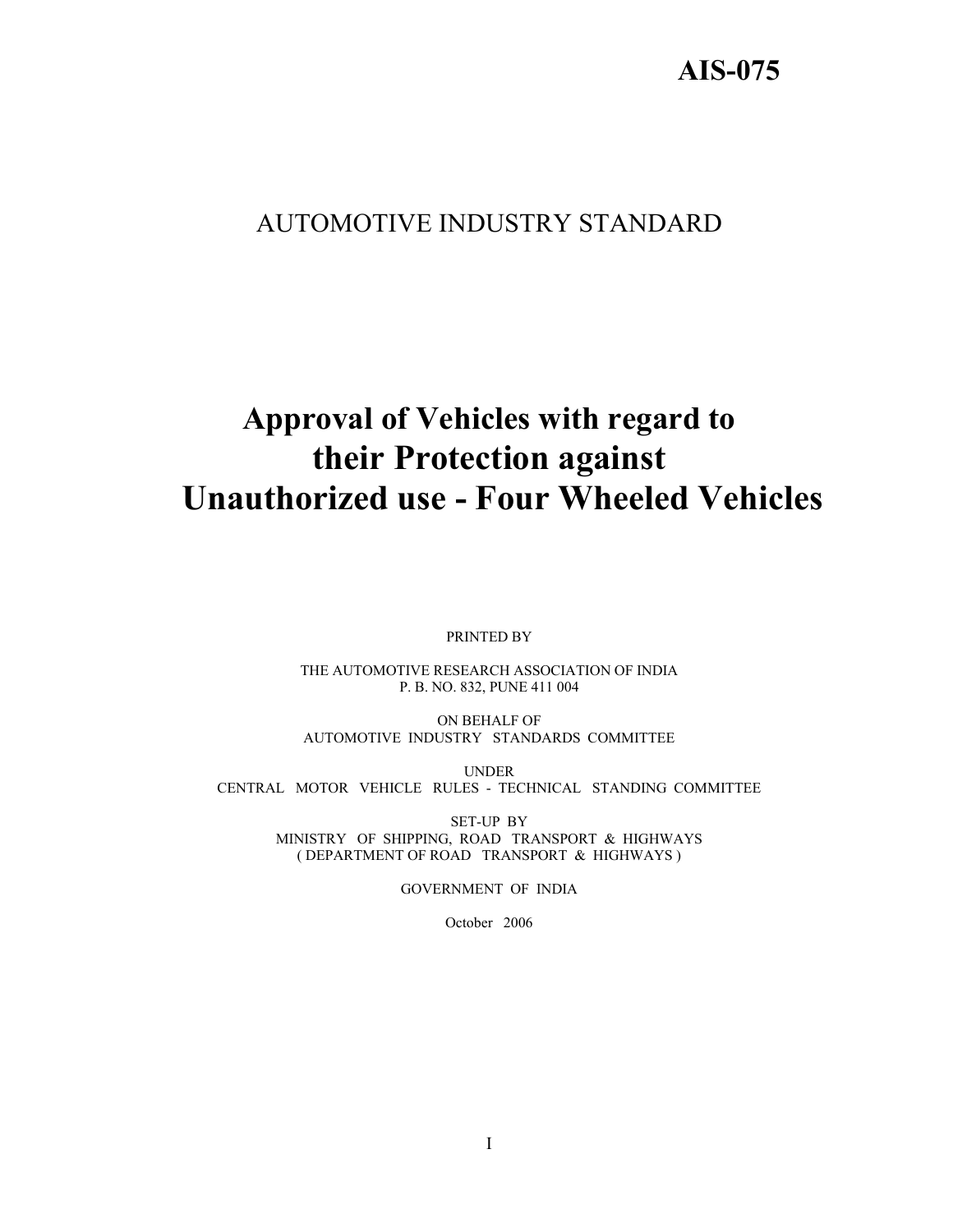# **AIS-075**

# AUTOMOTIVE INDUSTRY STANDARD

# **Approval of Vehicles with regard to their Protection against Unauthorized use - Four Wheeled Vehicles**

PRINTED BY

THE AUTOMOTIVE RESEARCH ASSOCIATION OF INDIA P. B. NO. 832, PUNE 411 004

ON BEHALF OF AUTOMOTIVE INDUSTRY STANDARDS COMMITTEE

UNDER CENTRAL MOTOR VEHICLE RULES - TECHNICAL STANDING COMMITTEE

> SET-UP BY MINISTRY OF SHIPPING, ROAD TRANSPORT & HIGHWAYS ( DEPARTMENT OF ROAD TRANSPORT & HIGHWAYS )

> > GOVERNMENT OF INDIA

October 2006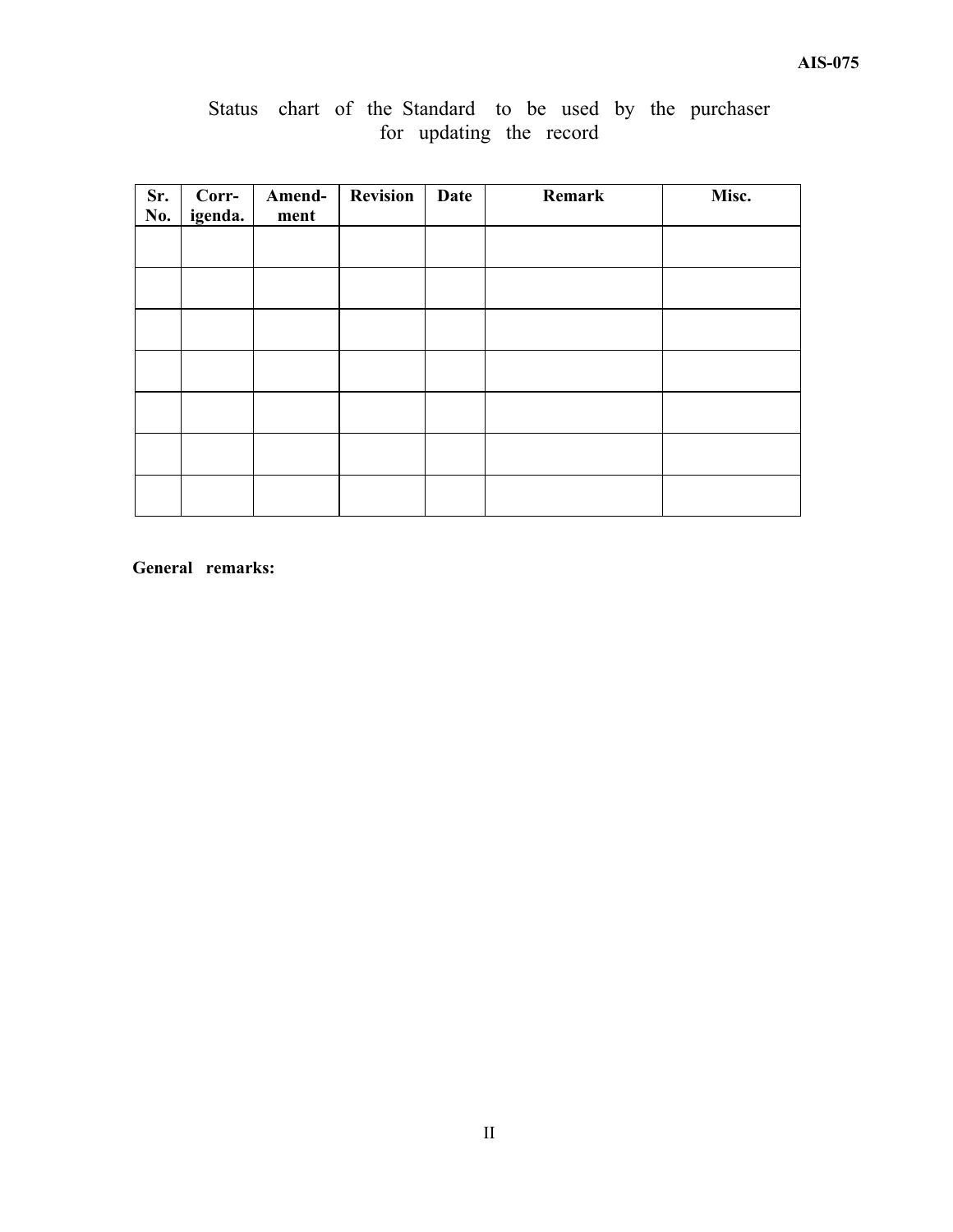| Sr.<br>No. | Corr-<br>igenda. | Amend-<br>ment | <b>Revision</b> | <b>Date</b> | Remark | Misc. |
|------------|------------------|----------------|-----------------|-------------|--------|-------|
|            |                  |                |                 |             |        |       |
|            |                  |                |                 |             |        |       |
|            |                  |                |                 |             |        |       |
|            |                  |                |                 |             |        |       |
|            |                  |                |                 |             |        |       |
|            |                  |                |                 |             |        |       |
|            |                  |                |                 |             |        |       |

# Status chart of the Standard to be used by the purchaser for updating the record

**General remarks:**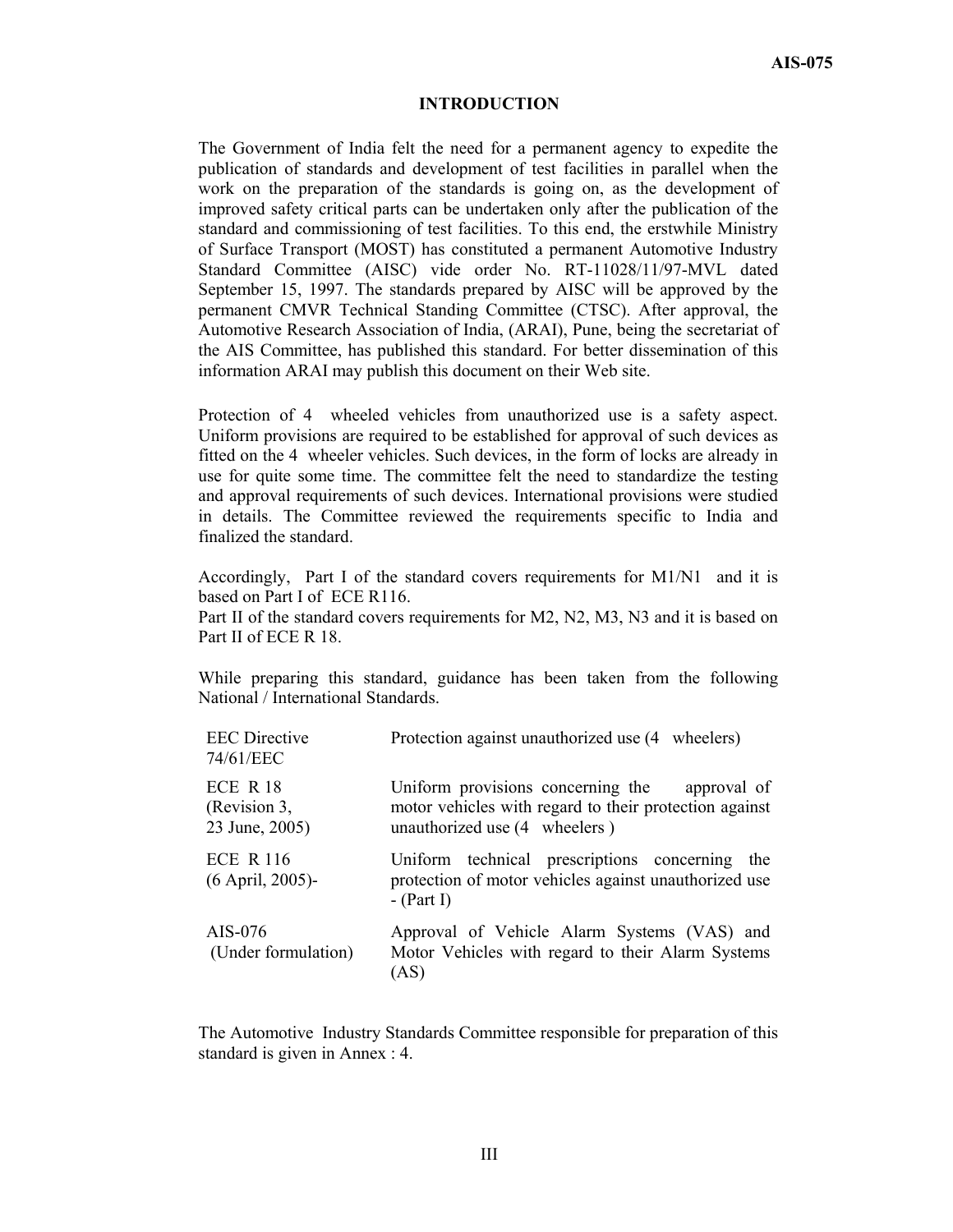#### **INTRODUCTION**

The Government of India felt the need for a permanent agency to expedite the publication of standards and development of test facilities in parallel when the work on the preparation of the standards is going on, as the development of improved safety critical parts can be undertaken only after the publication of the standard and commissioning of test facilities. To this end, the erstwhile Ministry of Surface Transport (MOST) has constituted a permanent Automotive Industry Standard Committee (AISC) vide order No. RT-11028/11/97-MVL dated September 15, 1997. The standards prepared by AISC will be approved by the permanent CMVR Technical Standing Committee (CTSC). After approval, the Automotive Research Association of India, (ARAI), Pune, being the secretariat of the AIS Committee, has published this standard. For better dissemination of this information ARAI may publish this document on their Web site.

Protection of 4 wheeled vehicles from unauthorized use is a safety aspect. Uniform provisions are required to be established for approval of such devices as fitted on the 4 wheeler vehicles. Such devices, in the form of locks are already in use for quite some time. The committee felt the need to standardize the testing and approval requirements of such devices. International provisions were studied in details. The Committee reviewed the requirements specific to India and finalized the standard.

Accordingly, Part I of the standard covers requirements for M1/N1 and it is based on Part I of ECE R116.

Part II of the standard covers requirements for M2, N2, M3, N3 and it is based on Part II of ECE R 18.

While preparing this standard, guidance has been taken from the following National / International Standards.

| <b>EEC</b> Directive<br>74/61/EEC          | Protection against unauthorized use (4 wheelers)                                                                                         |
|--------------------------------------------|------------------------------------------------------------------------------------------------------------------------------------------|
| ECE R 18<br>(Revision 3,<br>23 June, 2005) | Uniform provisions concerning the approval of<br>motor vehicles with regard to their protection against<br>unauthorized use (4 wheelers) |
| <b>ECE R 116</b><br>$(6$ April, 2005)-     | Uniform technical prescriptions concerning<br>the<br>protection of motor vehicles against unauthorized use<br>$-(Part I)$                |
| AIS-076<br>(Under formulation)             | Approval of Vehicle Alarm Systems (VAS) and<br>Motor Vehicles with regard to their Alarm Systems<br>(AS)                                 |

The Automotive Industry Standards Committee responsible for preparation of this standard is given in Annex : 4.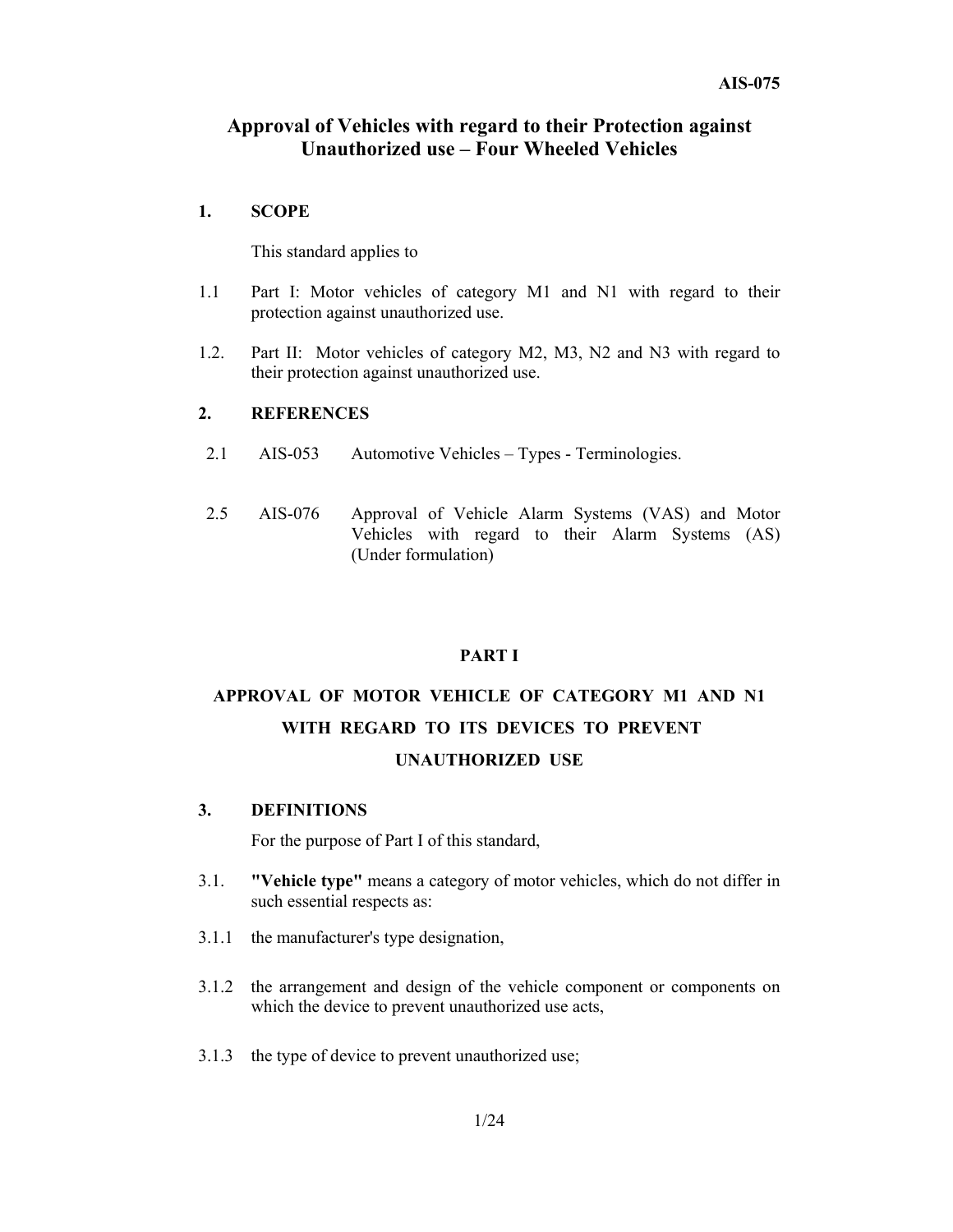# **Approval of Vehicles with regard to their Protection against Unauthorized use – Four Wheeled Vehicles**

## **1. SCOPE**

This standard applies to

- 1.1 Part I: Motor vehicles of category M1 and N1 with regard to their protection against unauthorized use.
- 1.2. Part II: Motor vehicles of category M2, M3, N2 and N3 with regard to their protection against unauthorized use.

#### **2. REFERENCES**

- 2.1 AIS-053 Automotive Vehicles Types Terminologies.
- 2.5 AIS-076 Approval of Vehicle Alarm Systems (VAS) and Motor Vehicles with regard to their Alarm Systems (AS) (Under formulation)

## **PART I**

# **APPROVAL OF MOTOR VEHICLE OF CATEGORY M1 AND N1 WITH REGARD TO ITS DEVICES TO PREVENT UNAUTHORIZED USE**

#### **3. DEFINITIONS**

For the purpose of Part I of this standard,

- 3.1. **"Vehicle type"** means a category of motor vehicles, which do not differ in such essential respects as:
- 3.1.1 the manufacturer's type designation,
- 3.1.2 the arrangement and design of the vehicle component or components on which the device to prevent unauthorized use acts,
- 3.1.3 the type of device to prevent unauthorized use;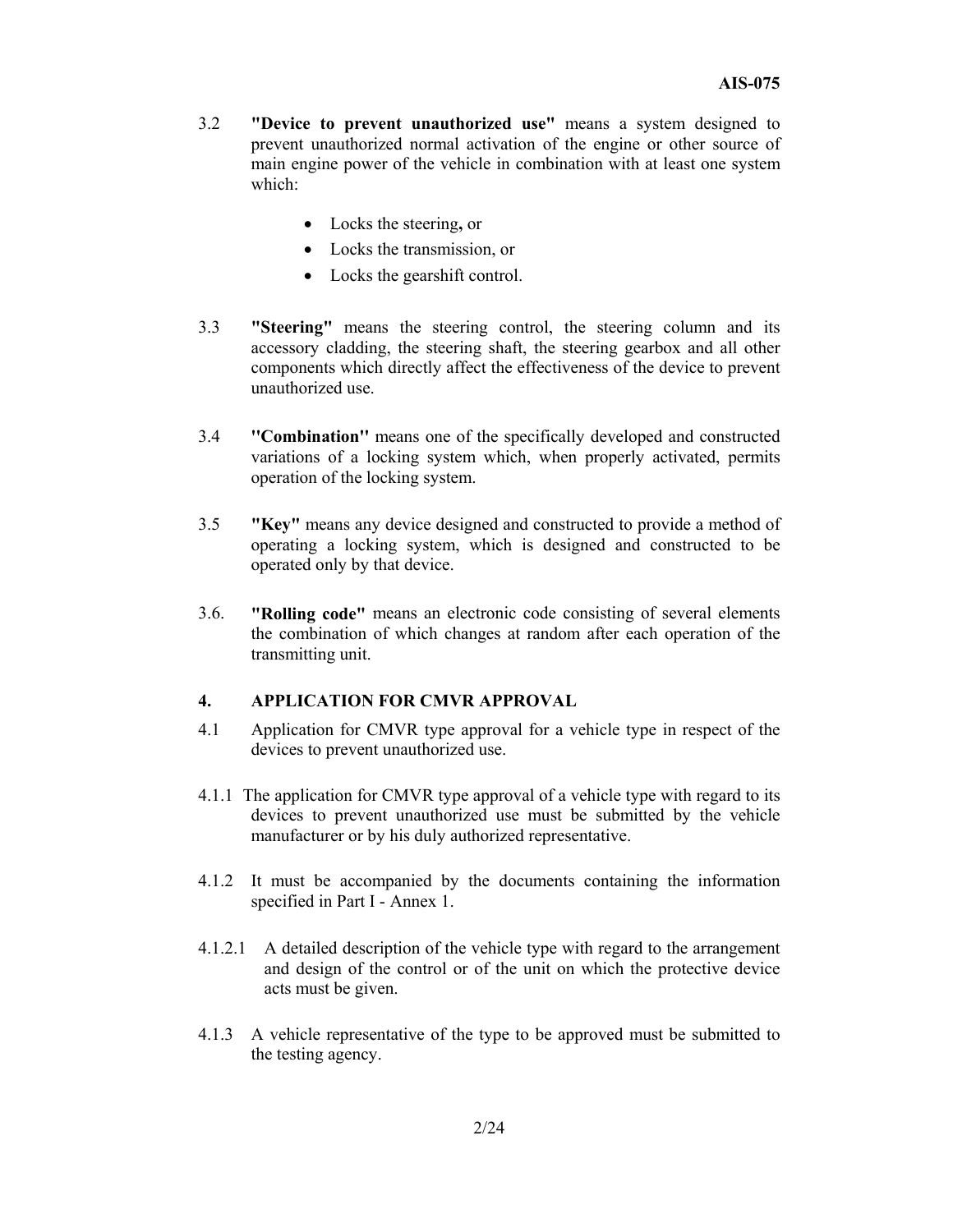- 3.2 **"Device to prevent unauthorized use"** means a system designed to prevent unauthorized normal activation of the engine or other source of main engine power of the vehicle in combination with at least one system which:
	- Locks the steering**,** or
	- Locks the transmission, or
	- Locks the gearshift control.
- 3.3 **"Steering"** means the steering control, the steering column and its accessory cladding, the steering shaft, the steering gearbox and all other components which directly affect the effectiveness of the device to prevent unauthorized use.
- 3.4 **''Combination''** means one of the specifically developed and constructed variations of a locking system which, when properly activated, permits operation of the locking system.
- 3.5 **"Key"** means any device designed and constructed to provide a method of operating a locking system, which is designed and constructed to be operated only by that device.
- 3.6. **"Rolling code"** means an electronic code consisting of several elements the combination of which changes at random after each operation of the transmitting unit.

## **4. APPLICATION FOR CMVR APPROVAL**

- 4.1 Application for CMVR type approval for a vehicle type in respect of the devices to prevent unauthorized use.
- 4.1.1 The application for CMVR type approval of a vehicle type with regard to its devices to prevent unauthorized use must be submitted by the vehicle manufacturer or by his duly authorized representative.
- 4.1.2 It must be accompanied by the documents containing the information specified in Part I - Annex 1.
- 4.1.2.1 A detailed description of the vehicle type with regard to the arrangement and design of the control or of the unit on which the protective device acts must be given.
- 4.1.3 A vehicle representative of the type to be approved must be submitted to the testing agency.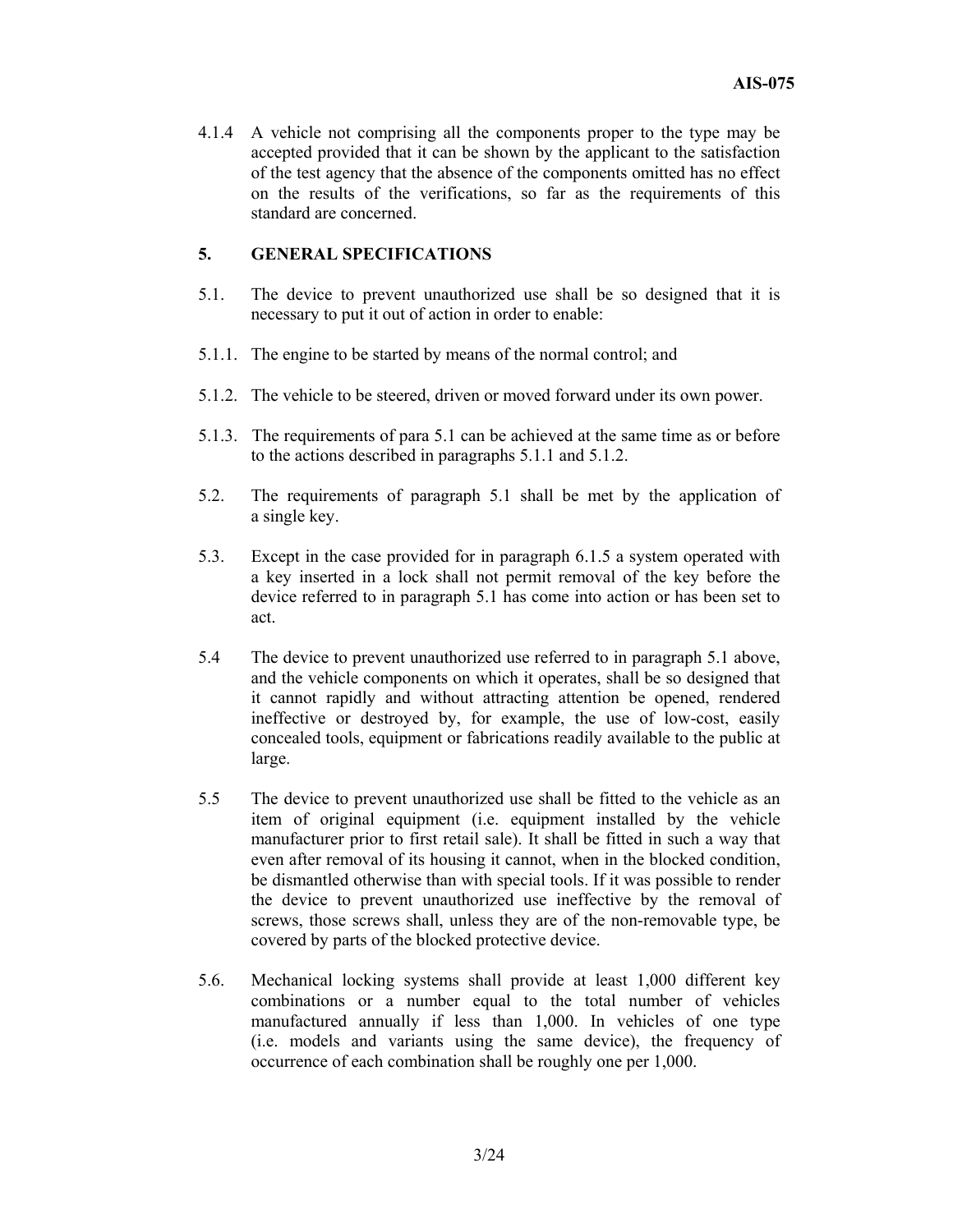4.1.4 A vehicle not comprising all the components proper to the type may be accepted provided that it can be shown by the applicant to the satisfaction of the test agency that the absence of the components omitted has no effect on the results of the verifications, so far as the requirements of this standard are concerned.

# **5. GENERAL SPECIFICATIONS**

- 5.1. The device to prevent unauthorized use shall be so designed that it is necessary to put it out of action in order to enable:
- 5.1.1. The engine to be started by means of the normal control; and
- 5.1.2. The vehicle to be steered, driven or moved forward under its own power.
- 5.1.3. The requirements of para 5.1 can be achieved at the same time as or before to the actions described in paragraphs 5.1.1 and 5.1.2.
- 5.2. The requirements of paragraph 5.1 shall be met by the application of a single key.
- 5.3. Except in the case provided for in paragraph 6.1.5 a system operated with a key inserted in a lock shall not permit removal of the key before the device referred to in paragraph 5.1 has come into action or has been set to act.
- 5.4 The device to prevent unauthorized use referred to in paragraph 5.1 above, and the vehicle components on which it operates, shall be so designed that it cannot rapidly and without attracting attention be opened, rendered ineffective or destroyed by, for example, the use of low-cost, easily concealed tools, equipment or fabrications readily available to the public at large.
- 5.5 The device to prevent unauthorized use shall be fitted to the vehicle as an item of original equipment (i.e. equipment installed by the vehicle manufacturer prior to first retail sale). It shall be fitted in such a way that even after removal of its housing it cannot, when in the blocked condition, be dismantled otherwise than with special tools. If it was possible to render the device to prevent unauthorized use ineffective by the removal of screws, those screws shall, unless they are of the non-removable type, be covered by parts of the blocked protective device.
- 5.6. Mechanical locking systems shall provide at least 1,000 different key combinations or a number equal to the total number of vehicles manufactured annually if less than 1,000. In vehicles of one type (i.e. models and variants using the same device), the frequency of occurrence of each combination shall be roughly one per 1,000.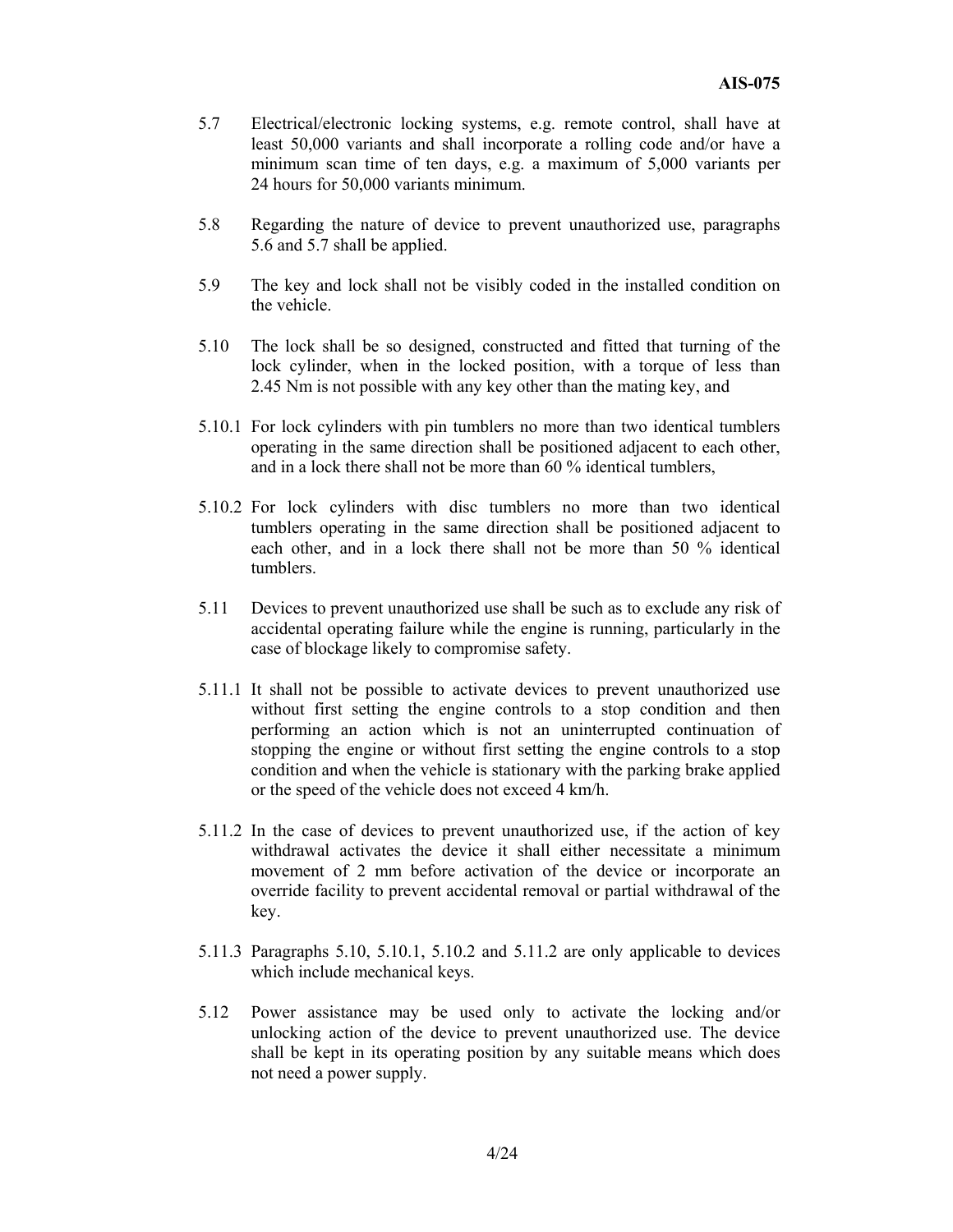- 5.7 Electrical/electronic locking systems, e.g. remote control, shall have at least 50,000 variants and shall incorporate a rolling code and/or have a minimum scan time of ten days, e.g. a maximum of 5,000 variants per 24 hours for 50,000 variants minimum.
- 5.8 Regarding the nature of device to prevent unauthorized use, paragraphs 5.6 and 5.7 shall be applied.
- 5.9 The key and lock shall not be visibly coded in the installed condition on the vehicle.
- 5.10 The lock shall be so designed, constructed and fitted that turning of the lock cylinder, when in the locked position, with a torque of less than 2.45 Nm is not possible with any key other than the mating key, and
- 5.10.1 For lock cylinders with pin tumblers no more than two identical tumblers operating in the same direction shall be positioned adjacent to each other, and in a lock there shall not be more than 60 % identical tumblers,
- 5.10.2 For lock cylinders with disc tumblers no more than two identical tumblers operating in the same direction shall be positioned adjacent to each other, and in a lock there shall not be more than 50 % identical tumblers.
- 5.11 Devices to prevent unauthorized use shall be such as to exclude any risk of accidental operating failure while the engine is running, particularly in the case of blockage likely to compromise safety.
- 5.11.1 It shall not be possible to activate devices to prevent unauthorized use without first setting the engine controls to a stop condition and then performing an action which is not an uninterrupted continuation of stopping the engine or without first setting the engine controls to a stop condition and when the vehicle is stationary with the parking brake applied or the speed of the vehicle does not exceed 4 km/h.
- 5.11.2 In the case of devices to prevent unauthorized use, if the action of key withdrawal activates the device it shall either necessitate a minimum movement of 2 mm before activation of the device or incorporate an override facility to prevent accidental removal or partial withdrawal of the key.
- 5.11.3 Paragraphs 5.10, 5.10.1, 5.10.2 and 5.11.2 are only applicable to devices which include mechanical keys.
- 5.12 Power assistance may be used only to activate the locking and/or unlocking action of the device to prevent unauthorized use. The device shall be kept in its operating position by any suitable means which does not need a power supply.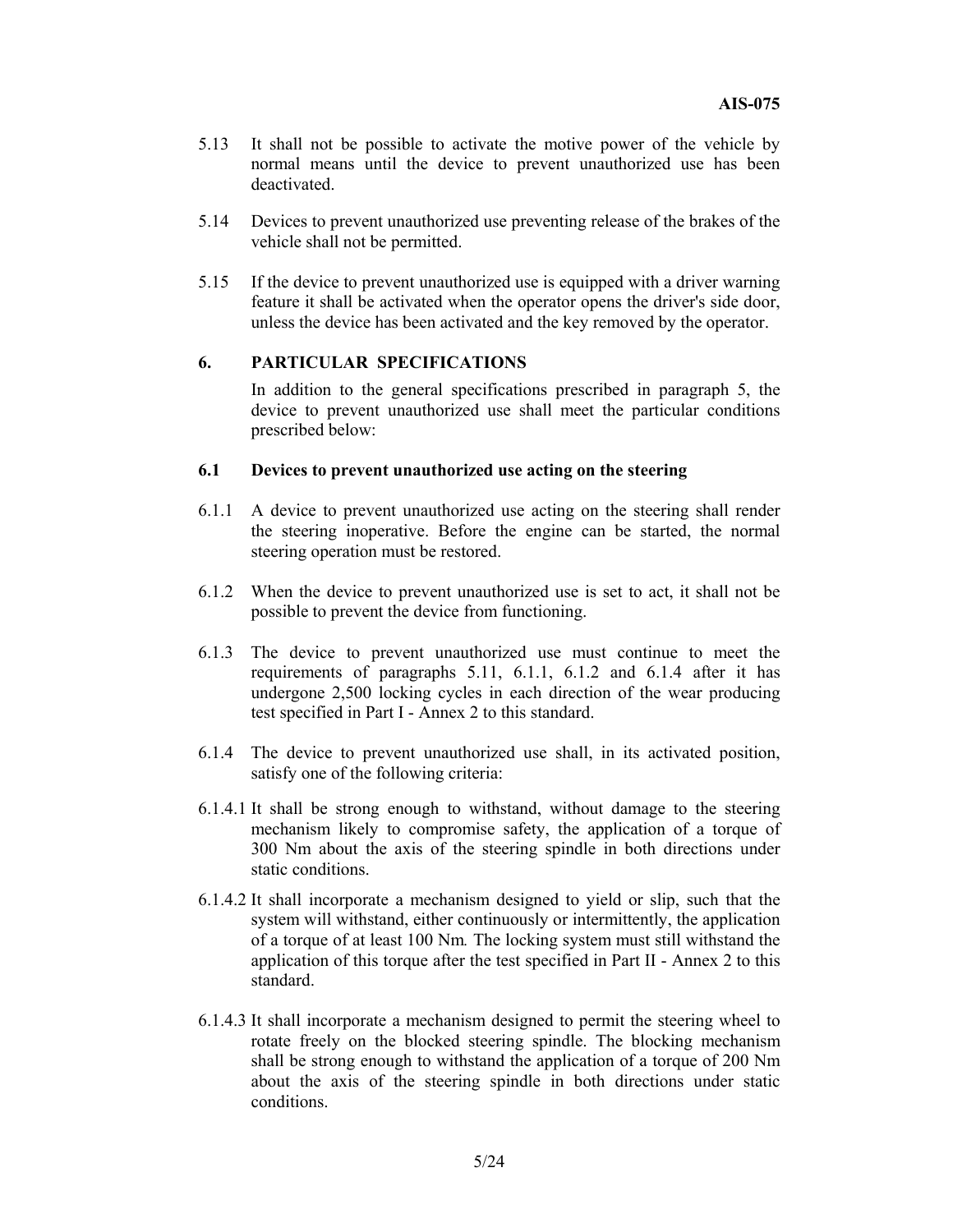- 5.13 It shall not be possible to activate the motive power of the vehicle by normal means until the device to prevent unauthorized use has been deactivated.
- 5.14 Devices to prevent unauthorized use preventing release of the brakes of the vehicle shall not be permitted.
- 5.15 If the device to prevent unauthorized use is equipped with a driver warning feature it shall be activated when the operator opens the driver's side door, unless the device has been activated and the key removed by the operator.

# **6. PARTICULAR SPECIFICATIONS**

In addition to the general specifications prescribed in paragraph 5, the device to prevent unauthorized use shall meet the particular conditions prescribed below:

#### **6.1 Devices to prevent unauthorized use acting on the steering**

- 6.1.1 A device to prevent unauthorized use acting on the steering shall render the steering inoperative. Before the engine can be started, the normal steering operation must be restored.
- 6.1.2 When the device to prevent unauthorized use is set to act, it shall not be possible to prevent the device from functioning.
- 6.1.3 The device to prevent unauthorized use must continue to meet the requirements of paragraphs 5.11, 6.1.1, 6.1.2 and 6.1.4 after it has undergone 2,500 locking cycles in each direction of the wear producing test specified in Part I - Annex 2 to this standard.
- 6.1.4 The device to prevent unauthorized use shall, in its activated position, satisfy one of the following criteria:
- 6.1.4.1 It shall be strong enough to withstand, without damage to the steering mechanism likely to compromise safety, the application of a torque of 300 Nm about the axis of the steering spindle in both directions under static conditions.
- 6.1.4.2 It shall incorporate a mechanism designed to yield or slip, such that the system will withstand, either continuously or intermittently, the application of a torque of at least 100 Nm*.* The locking system must still withstand the application of this torque after the test specified in Part II - Annex 2 to this standard.
- 6.1.4.3 It shall incorporate a mechanism designed to permit the steering wheel to rotate freely on the blocked steering spindle. The blocking mechanism shall be strong enough to withstand the application of a torque of 200 Nm about the axis of the steering spindle in both directions under static conditions.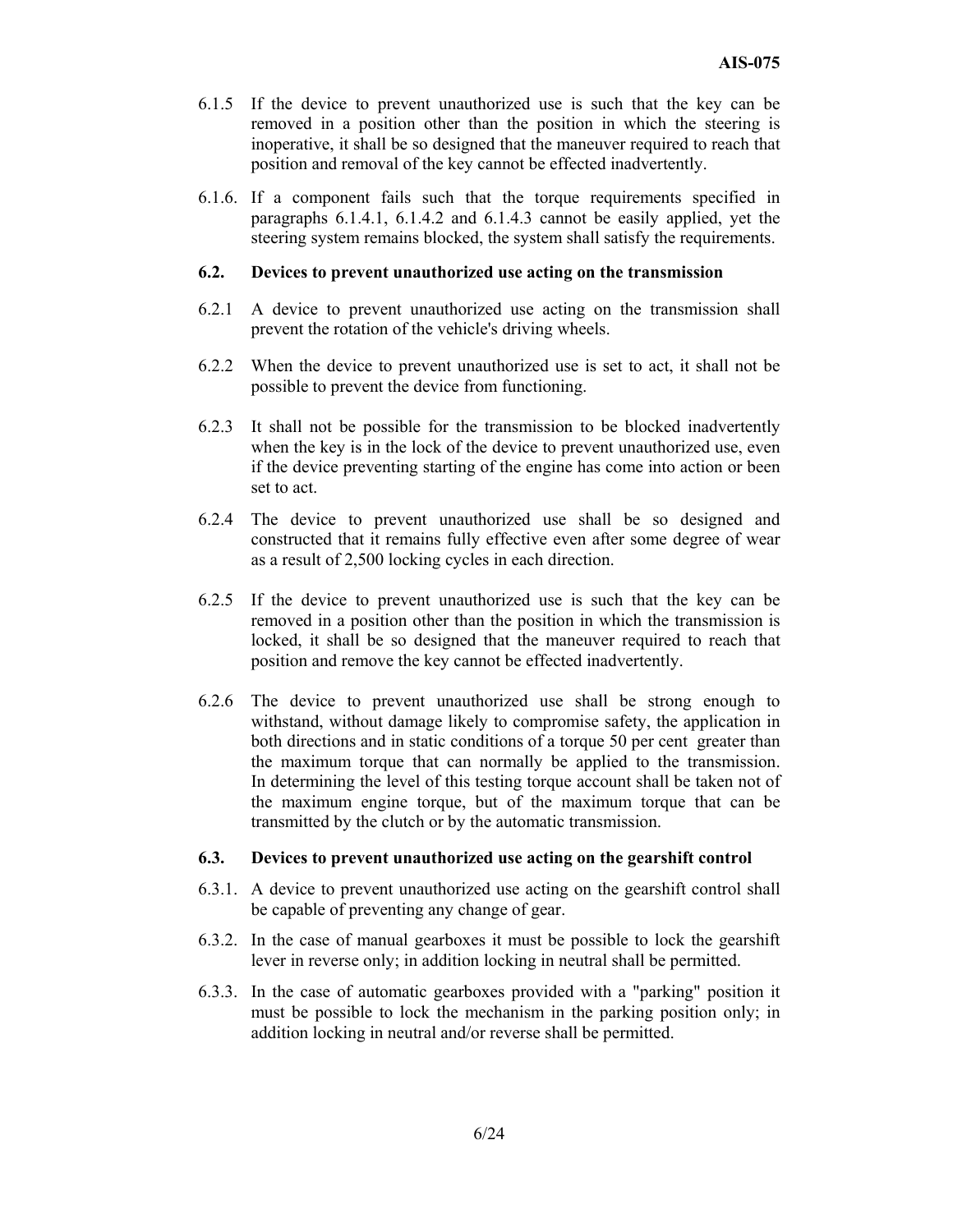- 6.1.5 If the device to prevent unauthorized use is such that the key can be removed in a position other than the position in which the steering is inoperative, it shall be so designed that the maneuver required to reach that position and removal of the key cannot be effected inadvertently.
- 6.1.6. If a component fails such that the torque requirements specified in paragraphs 6.1.4.1, 6.1.4.2 and 6.1.4.3 cannot be easily applied, yet the steering system remains blocked, the system shall satisfy the requirements.

#### **6.2. Devices to prevent unauthorized use acting on the transmission**

- 6.2.1 A device to prevent unauthorized use acting on the transmission shall prevent the rotation of the vehicle's driving wheels.
- 6.2.2 When the device to prevent unauthorized use is set to act, it shall not be possible to prevent the device from functioning.
- 6.2.3 It shall not be possible for the transmission to be blocked inadvertently when the key is in the lock of the device to prevent unauthorized use, even if the device preventing starting of the engine has come into action or been set to act.
- 6.2.4 The device to prevent unauthorized use shall be so designed and constructed that it remains fully effective even after some degree of wear as a result of 2,500 locking cycles in each direction.
- 6.2.5 If the device to prevent unauthorized use is such that the key can be removed in a position other than the position in which the transmission is locked, it shall be so designed that the maneuver required to reach that position and remove the key cannot be effected inadvertently.
- 6.2.6 The device to prevent unauthorized use shall be strong enough to withstand, without damage likely to compromise safety, the application in both directions and in static conditions of a torque 50 per cent greater than the maximum torque that can normally be applied to the transmission. In determining the level of this testing torque account shall be taken not of the maximum engine torque, but of the maximum torque that can be transmitted by the clutch or by the automatic transmission.

#### **6.3. Devices to prevent unauthorized use acting on the gearshift control**

- 6.3.1. A device to prevent unauthorized use acting on the gearshift control shall be capable of preventing any change of gear.
- 6.3.2. In the case of manual gearboxes it must be possible to lock the gearshift lever in reverse only; in addition locking in neutral shall be permitted.
- 6.3.3. In the case of automatic gearboxes provided with a "parking" position it must be possible to lock the mechanism in the parking position only; in addition locking in neutral and/or reverse shall be permitted.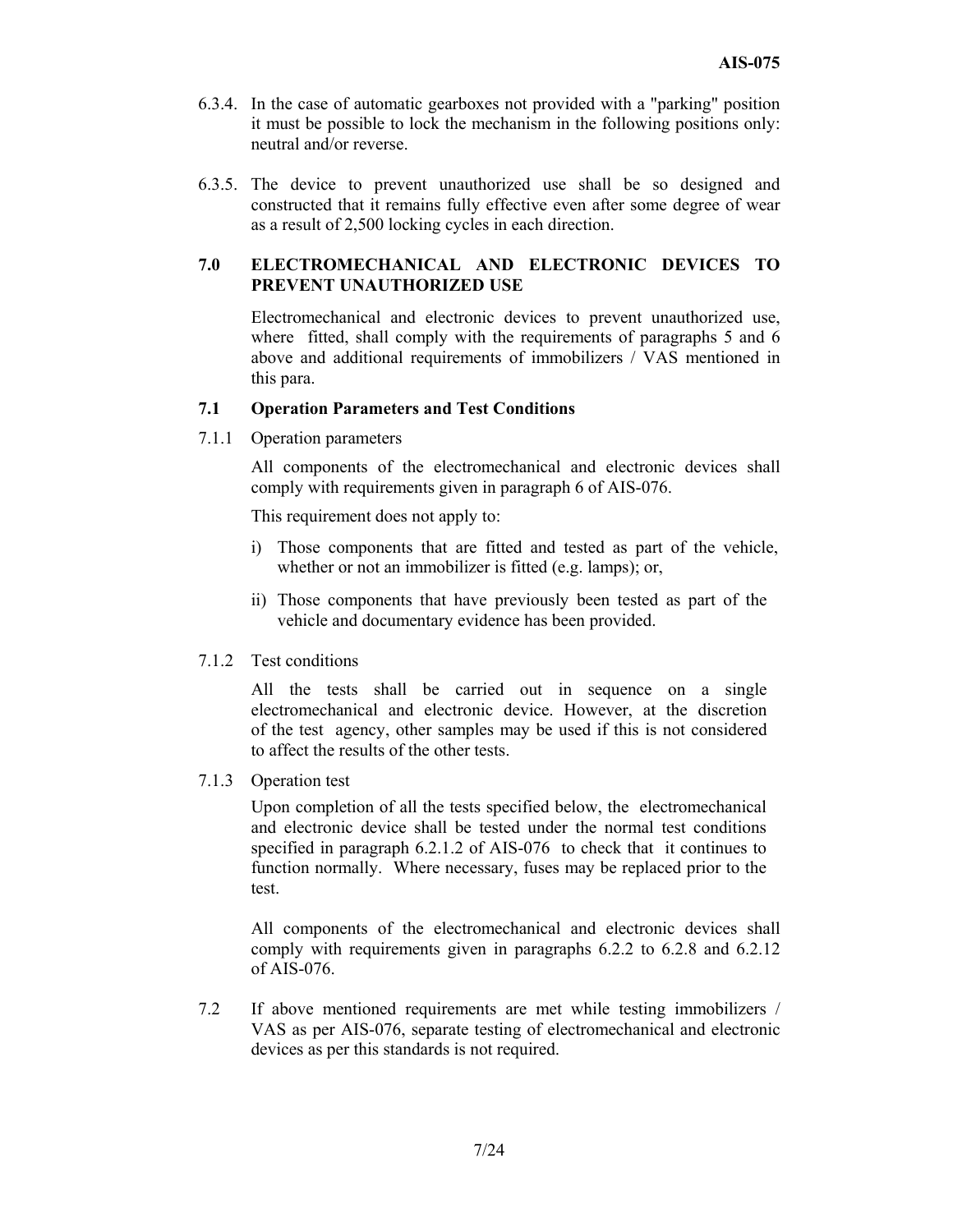- 6.3.4. In the case of automatic gearboxes not provided with a "parking" position it must be possible to lock the mechanism in the following positions only: neutral and/or reverse.
- 6.3.5. The device to prevent unauthorized use shall be so designed and constructed that it remains fully effective even after some degree of wear as a result of 2,500 locking cycles in each direction.

# **7.0 ELECTROMECHANICAL AND ELECTRONIC DEVICES TO PREVENT UNAUTHORIZED USE**

Electromechanical and electronic devices to prevent unauthorized use, where fitted, shall comply with the requirements of paragraphs 5 and 6 above and additional requirements of immobilizers / VAS mentioned in this para.

# **7.1 Operation Parameters and Test Conditions**

7.1.1 Operation parameters

 All components of the electromechanical and electronic devices shall comply with requirements given in paragraph 6 of AIS-076.

This requirement does not apply to:

- i) Those components that are fitted and tested as part of the vehicle, whether or not an immobilizer is fitted (e.g. lamps); or,
- ii) Those components that have previously been tested as part of the vehicle and documentary evidence has been provided.
- 7.1.2 Test conditions

 All the tests shall be carried out in sequence on a single electromechanical and electronic device. However, at the discretion of the test agency, other samples may be used if this is not considered to affect the results of the other tests.

7.1.3 Operation test

Upon completion of all the tests specified below, the electromechanical and electronic device shall be tested under the normal test conditions specified in paragraph 6.2.1.2 of AIS-076 to check that it continues to function normally. Where necessary, fuses may be replaced prior to the test.

All components of the electromechanical and electronic devices shall comply with requirements given in paragraphs 6.2.2 to 6.2.8 and 6.2.12 of AIS-076.

7.2 If above mentioned requirements are met while testing immobilizers / VAS as per AIS-076, separate testing of electromechanical and electronic devices as per this standards is not required.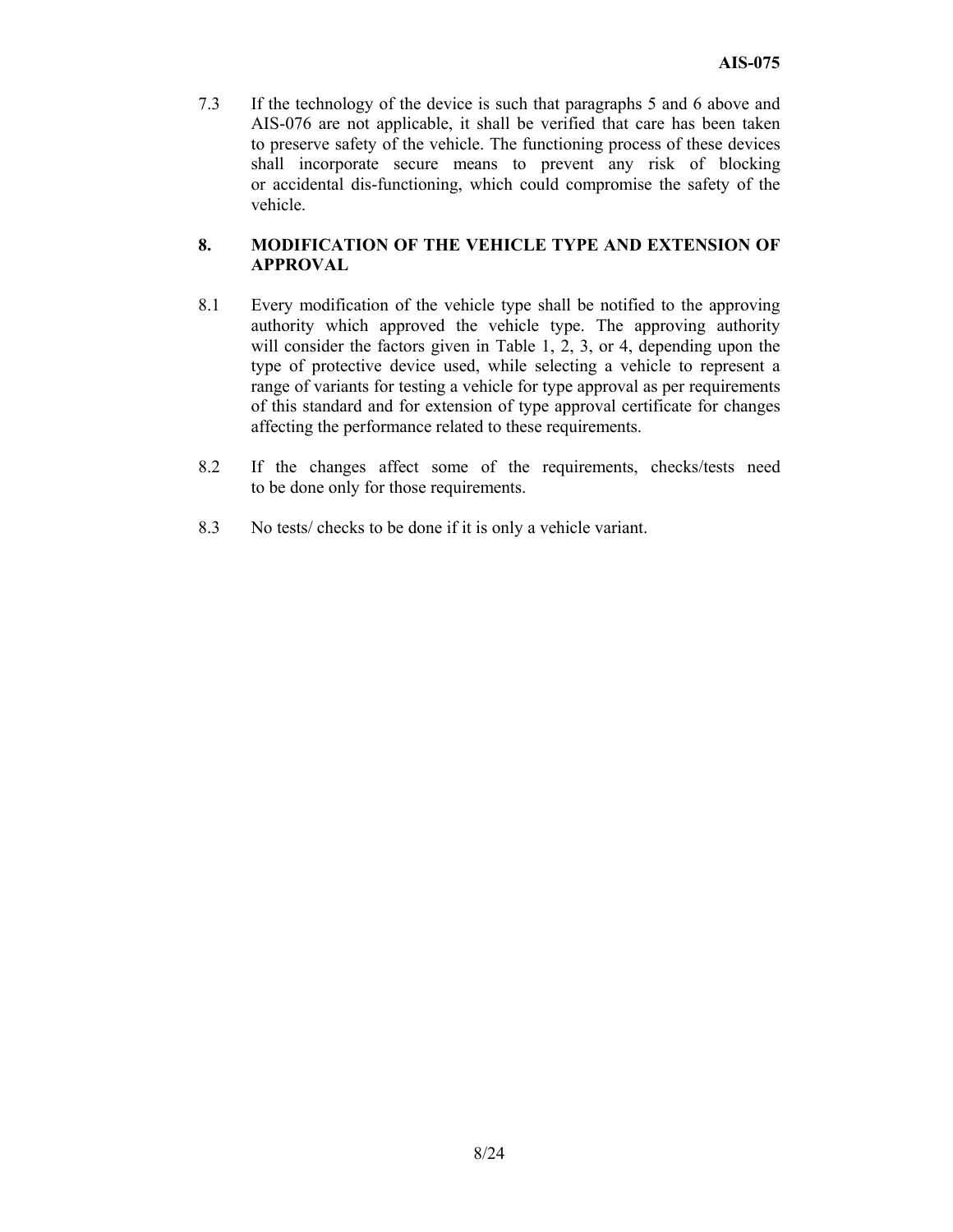7.3 If the technology of the device is such that paragraphs 5 and 6 above and AIS-076 are not applicable, it shall be verified that care has been taken to preserve safety of the vehicle. The functioning process of these devices shall incorporate secure means to prevent any risk of blocking or accidental dis-functioning, which could compromise the safety of the vehicle.

# **8. MODIFICATION OF THE VEHICLE TYPE AND EXTENSION OF APPROVAL**

- 8.1 Every modification of the vehicle type shall be notified to the approving authority which approved the vehicle type. The approving authority will consider the factors given in Table 1, 2, 3, or 4, depending upon the type of protective device used, while selecting a vehicle to represent a range of variants for testing a vehicle for type approval as per requirements of this standard and for extension of type approval certificate for changes affecting the performance related to these requirements.
- 8.2 If the changes affect some of the requirements, checks/tests need to be done only for those requirements.
- 8.3 No tests/ checks to be done if it is only a vehicle variant.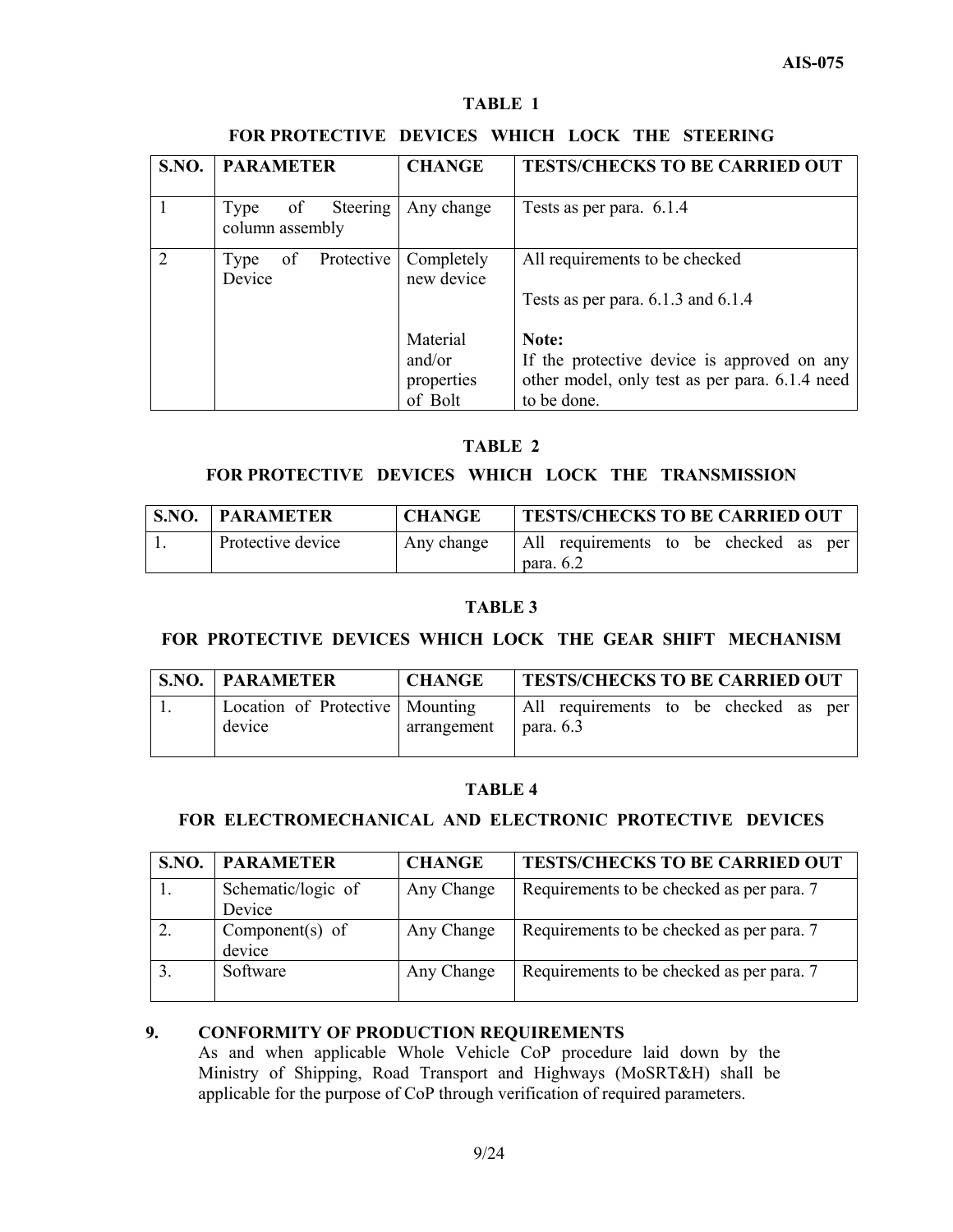# **TABLE 1**

# **FOR PROTECTIVE DEVICES WHICH LOCK THE STEERING**

| <b>S.NO.</b>   | <b>PARAMETER</b>                          | <b>CHANGE</b>                               | <b>TESTS/CHECKS TO BE CARRIED OUT</b>                                                                                 |
|----------------|-------------------------------------------|---------------------------------------------|-----------------------------------------------------------------------------------------------------------------------|
|                | of<br>Steering<br>Type<br>column assembly | Any change                                  | Tests as per para. 6.1.4                                                                                              |
| $\overline{2}$ | of Protective<br>Type<br>Device           | Completely<br>new device                    | All requirements to be checked<br>Tests as per para. $6.1.3$ and $6.1.4$                                              |
|                |                                           | Material<br>and/or<br>properties<br>of Bolt | Note:<br>If the protective device is approved on any<br>other model, only test as per para. 6.1.4 need<br>to be done. |

# **TABLE 2**

# **FOR PROTECTIVE DEVICES WHICH LOCK THE TRANSMISSION**

| <b>S.NO. PARAMETER</b> | <b>CHANGE</b> | <b>TESTS/CHECKS TO BE CARRIED OUT</b>              |
|------------------------|---------------|----------------------------------------------------|
| Protective device      | Any change    | All requirements to be checked as per<br>para. 6.2 |

# **TABLE 3**

# **FOR PROTECTIVE DEVICES WHICH LOCK THE GEAR SHIFT MECHANISM**

| <b>S.NO. PARAMETER</b>                      | <b>CHANGE</b> | <b>TESTS/CHECKS TO BE CARRIED OUT</b>                |
|---------------------------------------------|---------------|------------------------------------------------------|
| Location of Protective   Mounting<br>device | arrangement   | All requirements to be checked as per<br>para. $6.3$ |

# **TABLE 4**

# **FOR ELECTROMECHANICAL AND ELECTRONIC PROTECTIVE DEVICES**

| <b>S.NO.</b> | <b>PARAMETER</b>   | <b>CHANGE</b> | <b>TESTS/CHECKS TO BE CARRIED OUT</b>     |
|--------------|--------------------|---------------|-------------------------------------------|
|              | Schematic/logic of | Any Change    | Requirements to be checked as per para. 7 |
|              | Device             |               |                                           |
|              | Component $(s)$ of | Any Change    | Requirements to be checked as per para. 7 |
|              | device             |               |                                           |
|              | Software           | Any Change    | Requirements to be checked as per para. 7 |
|              |                    |               |                                           |

# **9. CONFORMITY OF PRODUCTION REQUIREMENTS**

As and when applicable Whole Vehicle CoP procedure laid down by the Ministry of Shipping, Road Transport and Highways (MoSRT&H) shall be applicable for the purpose of CoP through verification of required parameters.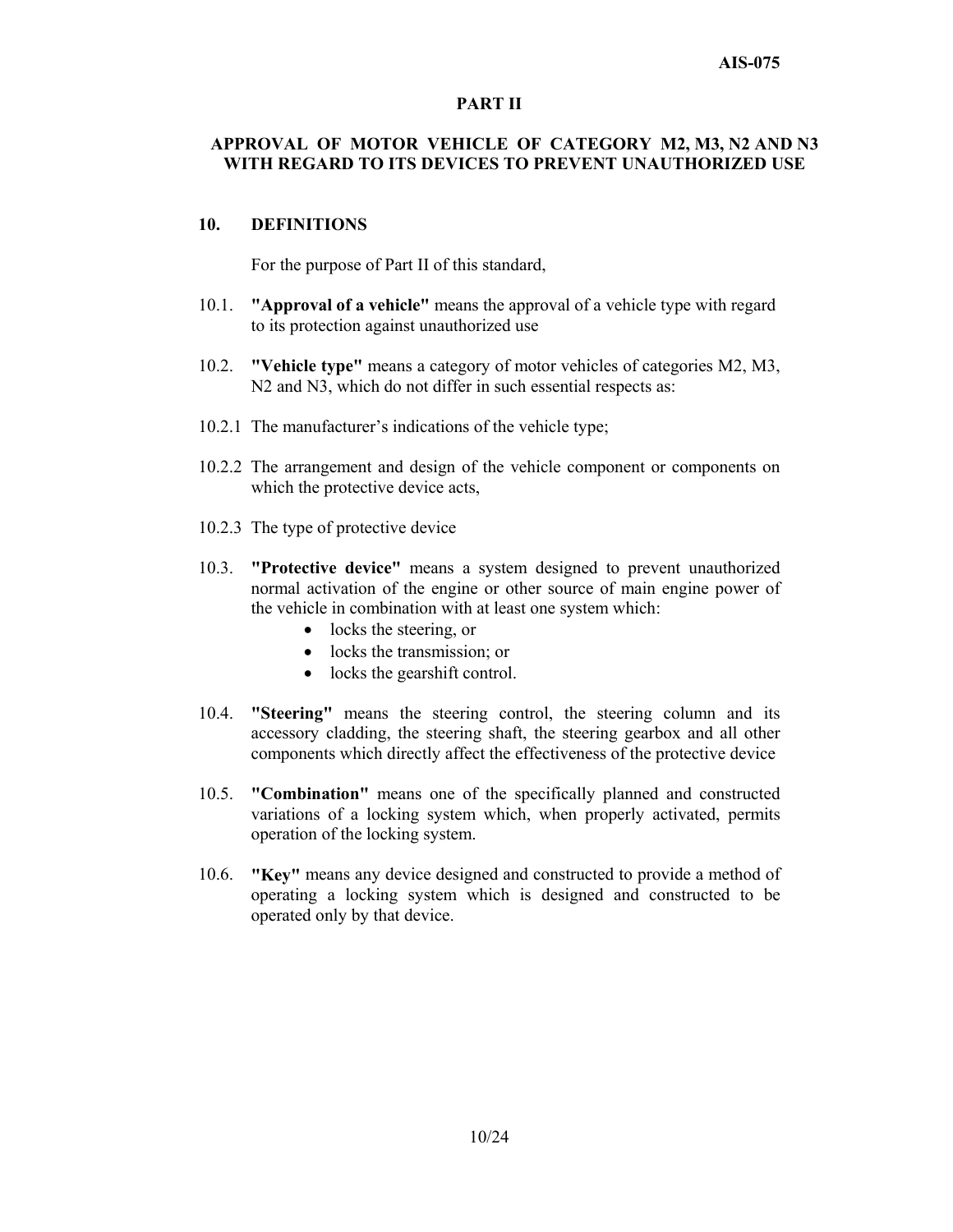# **AIS-075**

## **PART II**

# **APPROVAL OF MOTOR VEHICLE OF CATEGORY M2, M3, N2 AND N3 WITH REGARD TO ITS DEVICES TO PREVENT UNAUTHORIZED USE**

## **10. DEFINITIONS**

For the purpose of Part II of this standard,

- 10.1. **"Approval of a vehicle"** means the approval of a vehicle type with regard to its protection against unauthorized use
- 10.2. **"Vehicle type"** means a category of motor vehicles of categories M2, M3, N2 and N3, which do not differ in such essential respects as:
- 10.2.1 The manufacturer's indications of the vehicle type;
- 10.2.2 The arrangement and design of the vehicle component or components on which the protective device acts,
- 10.2.3 The type of protective device
- 10.3. **"Protective device"** means a system designed to prevent unauthorized normal activation of the engine or other source of main engine power of the vehicle in combination with at least one system which:
	- locks the steering, or
	- locks the transmission; or
	- locks the gearshift control.
- 10.4. **"Steering"** means the steering control, the steering column and its accessory cladding, the steering shaft, the steering gearbox and all other components which directly affect the effectiveness of the protective device
- 10.5. **"Combination"** means one of the specifically planned and constructed variations of a locking system which, when properly activated, permits operation of the locking system.
- 10.6. **"Key"** means any device designed and constructed to provide a method of operating a locking system which is designed and constructed to be operated only by that device.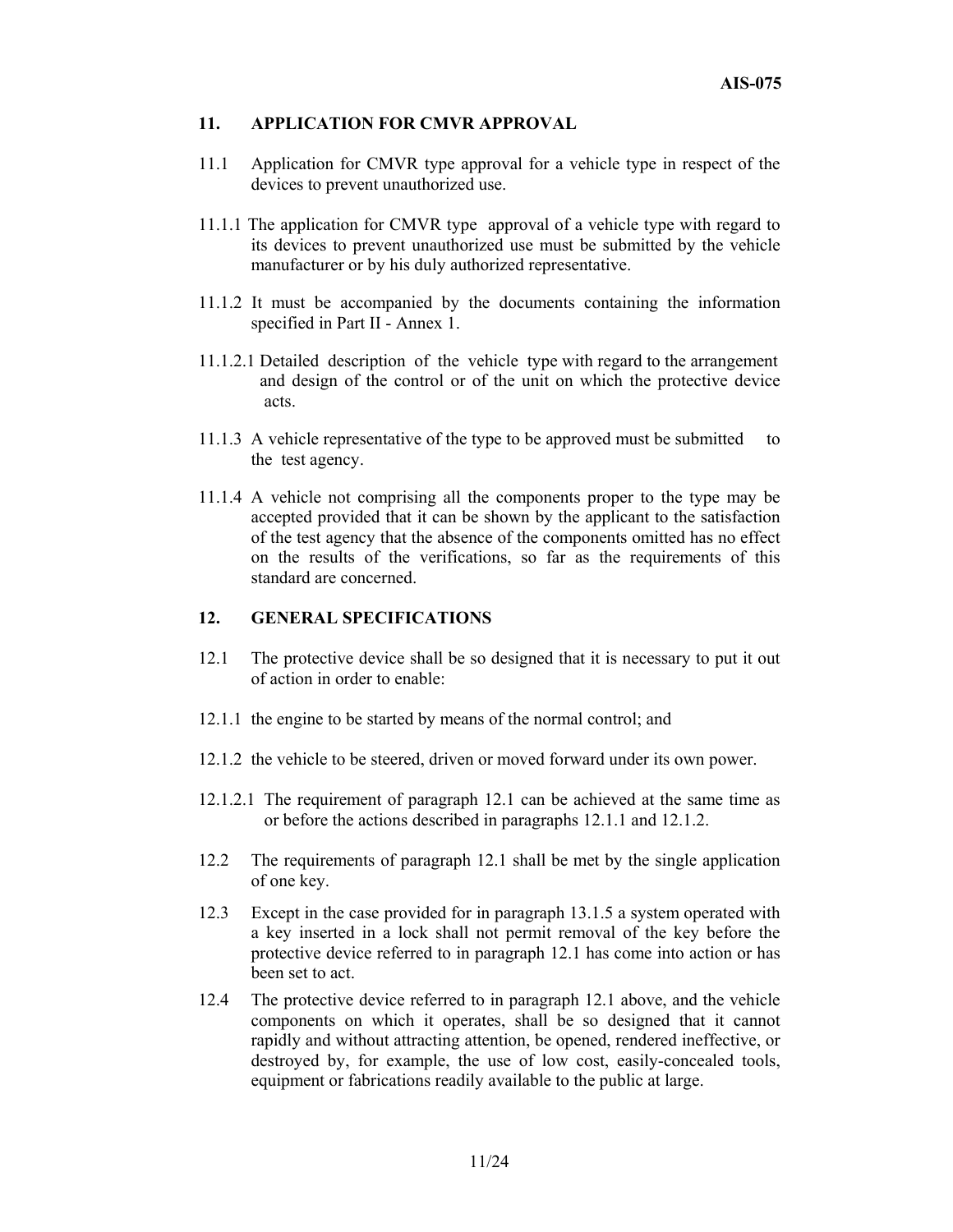## **11. APPLICATION FOR CMVR APPROVAL**

- 11.1 Application for CMVR type approval for a vehicle type in respect of the devices to prevent unauthorized use.
- 11.1.1 The application for CMVR type approval of a vehicle type with regard to its devices to prevent unauthorized use must be submitted by the vehicle manufacturer or by his duly authorized representative.
- 11.1.2 It must be accompanied by the documents containing the information specified in Part II - Annex 1.
- 11.1.2.1 Detailed description of the vehicle type with regard to the arrangement and design of the control or of the unit on which the protective device acts.
- 11.1.3 A vehicle representative of the type to be approved must be submitted to the test agency.
- 11.1.4 A vehicle not comprising all the components proper to the type may be accepted provided that it can be shown by the applicant to the satisfaction of the test agency that the absence of the components omitted has no effect on the results of the verifications, so far as the requirements of this standard are concerned.

#### **12. GENERAL SPECIFICATIONS**

- 12.1 The protective device shall be so designed that it is necessary to put it out of action in order to enable:
- 12.1.1 the engine to be started by means of the normal control; and
- 12.1.2 the vehicle to be steered, driven or moved forward under its own power.
- 12.1.2.1 The requirement of paragraph 12.1 can be achieved at the same time as or before the actions described in paragraphs 12.1.1 and 12.1.2.
- 12.2 The requirements of paragraph 12.1 shall be met by the single application of one key.
- 12.3 Except in the case provided for in paragraph 13.1.5 a system operated with a key inserted in a lock shall not permit removal of the key before the protective device referred to in paragraph 12.1 has come into action or has been set to act.
- 12.4 The protective device referred to in paragraph 12.1 above, and the vehicle components on which it operates, shall be so designed that it cannot rapidly and without attracting attention, be opened, rendered ineffective, or destroyed by, for example, the use of low cost, easily-concealed tools, equipment or fabrications readily available to the public at large.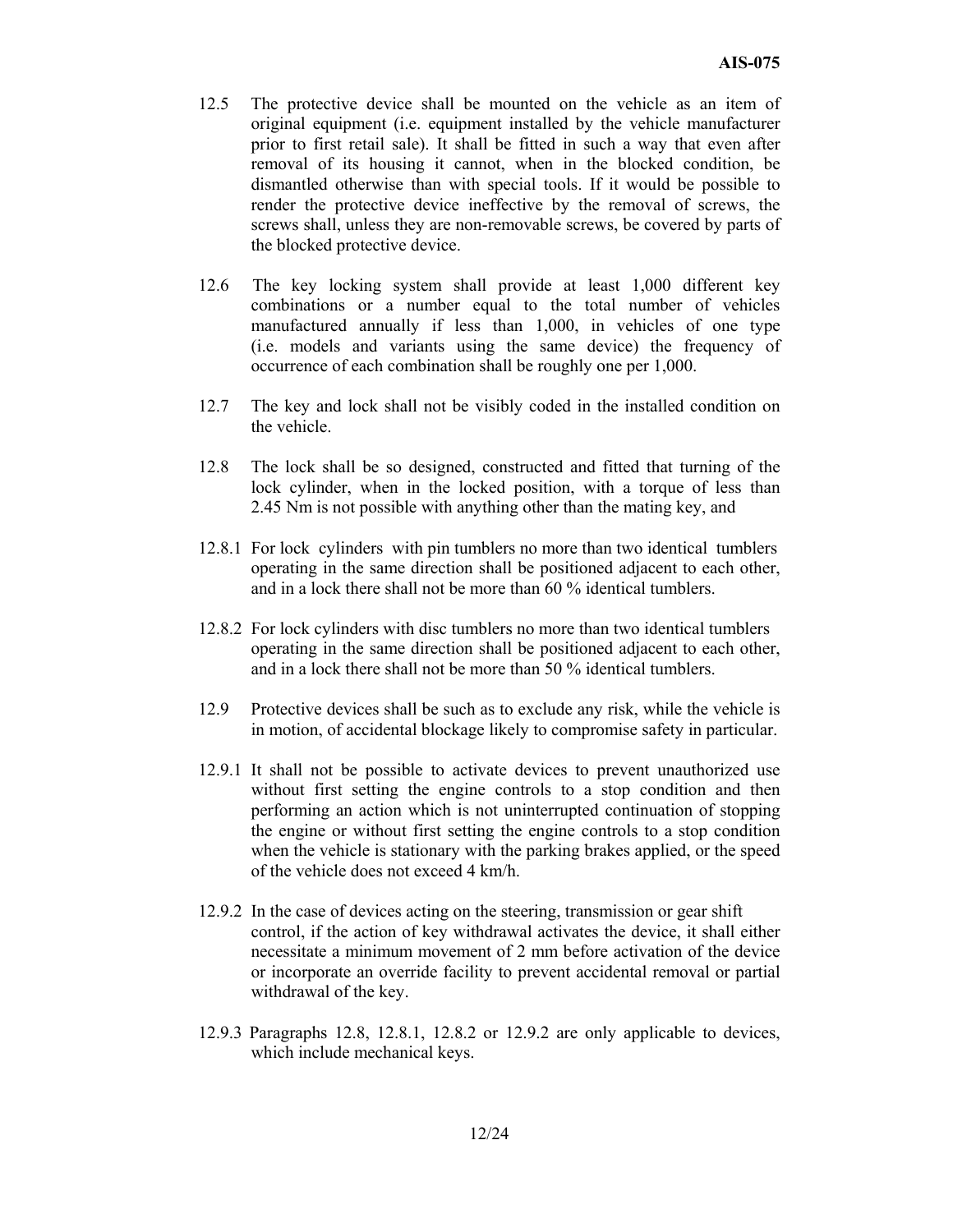- 12.5 The protective device shall be mounted on the vehicle as an item of original equipment (i.e. equipment installed by the vehicle manufacturer prior to first retail sale). It shall be fitted in such a way that even after removal of its housing it cannot, when in the blocked condition, be dismantled otherwise than with special tools. If it would be possible to render the protective device ineffective by the removal of screws, the screws shall, unless they are non-removable screws, be covered by parts of the blocked protective device.
- 12.6 The key locking system shall provide at least 1,000 different key combinations or a number equal to the total number of vehicles manufactured annually if less than 1,000, in vehicles of one type (i.e. models and variants using the same device) the frequency of occurrence of each combination shall be roughly one per 1,000.
- 12.7 The key and lock shall not be visibly coded in the installed condition on the vehicle.
- 12.8 The lock shall be so designed, constructed and fitted that turning of the lock cylinder, when in the locked position, with a torque of less than 2.45 Nm is not possible with anything other than the mating key, and
- 12.8.1 For lock cylinders with pin tumblers no more than two identical tumblers operating in the same direction shall be positioned adjacent to each other, and in a lock there shall not be more than 60 % identical tumblers.
- 12.8.2 For lock cylinders with disc tumblers no more than two identical tumblers operating in the same direction shall be positioned adjacent to each other, and in a lock there shall not be more than 50 % identical tumblers.
- 12.9 Protective devices shall be such as to exclude any risk, while the vehicle is in motion, of accidental blockage likely to compromise safety in particular.
- 12.9.1 It shall not be possible to activate devices to prevent unauthorized use without first setting the engine controls to a stop condition and then performing an action which is not uninterrupted continuation of stopping the engine or without first setting the engine controls to a stop condition when the vehicle is stationary with the parking brakes applied, or the speed of the vehicle does not exceed 4 km/h.
- 12.9.2 In the case of devices acting on the steering, transmission or gear shift control, if the action of key withdrawal activates the device, it shall either necessitate a minimum movement of 2 mm before activation of the device or incorporate an override facility to prevent accidental removal or partial withdrawal of the key.
- 12.9.3 Paragraphs 12.8, 12.8.1, 12.8.2 or 12.9.2 are only applicable to devices, which include mechanical keys.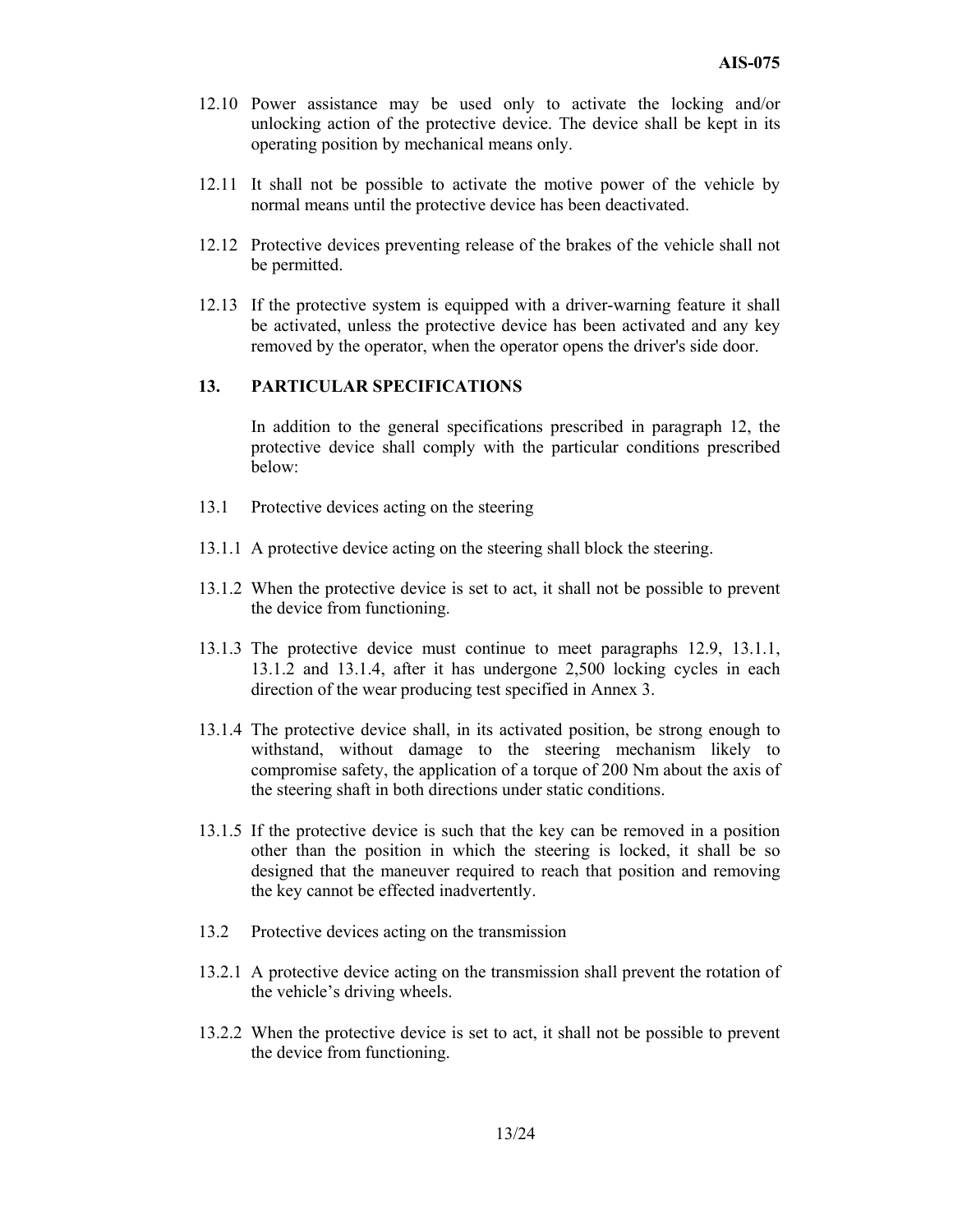- 12.10 Power assistance may be used only to activate the locking and/or unlocking action of the protective device. The device shall be kept in its operating position by mechanical means only.
- 12.11 It shall not be possible to activate the motive power of the vehicle by normal means until the protective device has been deactivated.
- 12.12 Protective devices preventing release of the brakes of the vehicle shall not be permitted.
- 12.13 If the protective system is equipped with a driver-warning feature it shall be activated, unless the protective device has been activated and any key removed by the operator, when the operator opens the driver's side door.

## **13. PARTICULAR SPECIFICATIONS**

In addition to the general specifications prescribed in paragraph 12, the protective device shall comply with the particular conditions prescribed below:

- 13.1 Protective devices acting on the steering
- 13.1.1 A protective device acting on the steering shall block the steering.
- 13.1.2 When the protective device is set to act, it shall not be possible to prevent the device from functioning.
- 13.1.3 The protective device must continue to meet paragraphs 12.9, 13.1.1, 13.1.2 and 13.1.4, after it has undergone 2,500 locking cycles in each direction of the wear producing test specified in Annex 3.
- 13.1.4 The protective device shall, in its activated position, be strong enough to withstand, without damage to the steering mechanism likely to compromise safety, the application of a torque of 200 Nm about the axis of the steering shaft in both directions under static conditions.
- 13.1.5 If the protective device is such that the key can be removed in a position other than the position in which the steering is locked, it shall be so designed that the maneuver required to reach that position and removing the key cannot be effected inadvertently.
- 13.2 Protective devices acting on the transmission
- 13.2.1 A protective device acting on the transmission shall prevent the rotation of the vehicle's driving wheels.
- 13.2.2 When the protective device is set to act, it shall not be possible to prevent the device from functioning.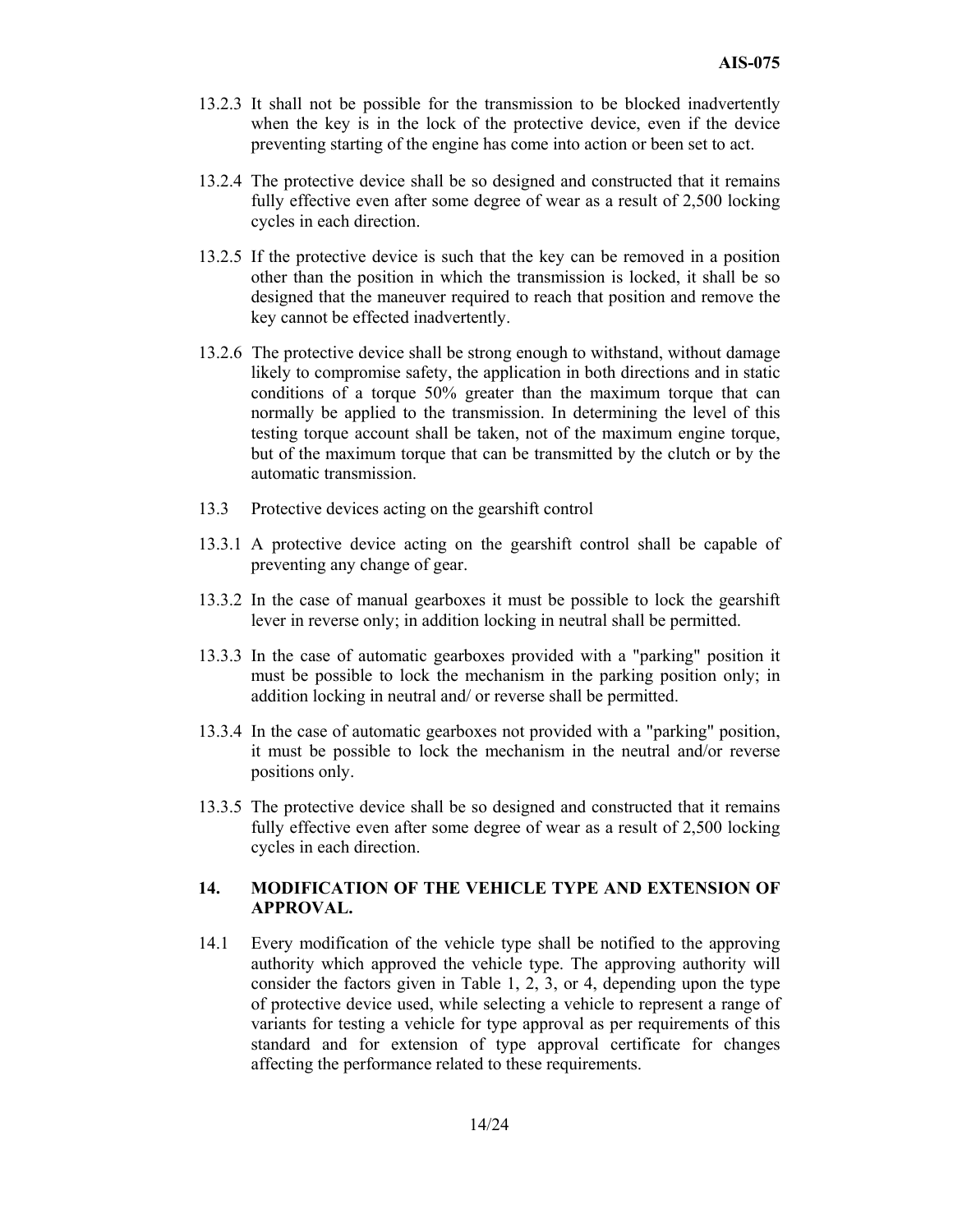- 13.2.3 It shall not be possible for the transmission to be blocked inadvertently when the key is in the lock of the protective device, even if the device preventing starting of the engine has come into action or been set to act.
- 13.2.4 The protective device shall be so designed and constructed that it remains fully effective even after some degree of wear as a result of 2,500 locking cycles in each direction.
- 13.2.5 If the protective device is such that the key can be removed in a position other than the position in which the transmission is locked, it shall be so designed that the maneuver required to reach that position and remove the key cannot be effected inadvertently.
- 13.2.6 The protective device shall be strong enough to withstand, without damage likely to compromise safety, the application in both directions and in static conditions of a torque 50% greater than the maximum torque that can normally be applied to the transmission. In determining the level of this testing torque account shall be taken, not of the maximum engine torque, but of the maximum torque that can be transmitted by the clutch or by the automatic transmission.
- 13.3 Protective devices acting on the gearshift control
- 13.3.1 A protective device acting on the gearshift control shall be capable of preventing any change of gear.
- 13.3.2 In the case of manual gearboxes it must be possible to lock the gearshift lever in reverse only; in addition locking in neutral shall be permitted.
- 13.3.3 In the case of automatic gearboxes provided with a "parking" position it must be possible to lock the mechanism in the parking position only; in addition locking in neutral and/ or reverse shall be permitted.
- 13.3.4 In the case of automatic gearboxes not provided with a "parking" position, it must be possible to lock the mechanism in the neutral and/or reverse positions only.
- 13.3.5 The protective device shall be so designed and constructed that it remains fully effective even after some degree of wear as a result of 2,500 locking cycles in each direction.

## **14. MODIFICATION OF THE VEHICLE TYPE AND EXTENSION OF APPROVAL.**

14.1 Every modification of the vehicle type shall be notified to the approving authority which approved the vehicle type. The approving authority will consider the factors given in Table 1, 2, 3, or 4, depending upon the type of protective device used, while selecting a vehicle to represent a range of variants for testing a vehicle for type approval as per requirements of this standard and for extension of type approval certificate for changes affecting the performance related to these requirements.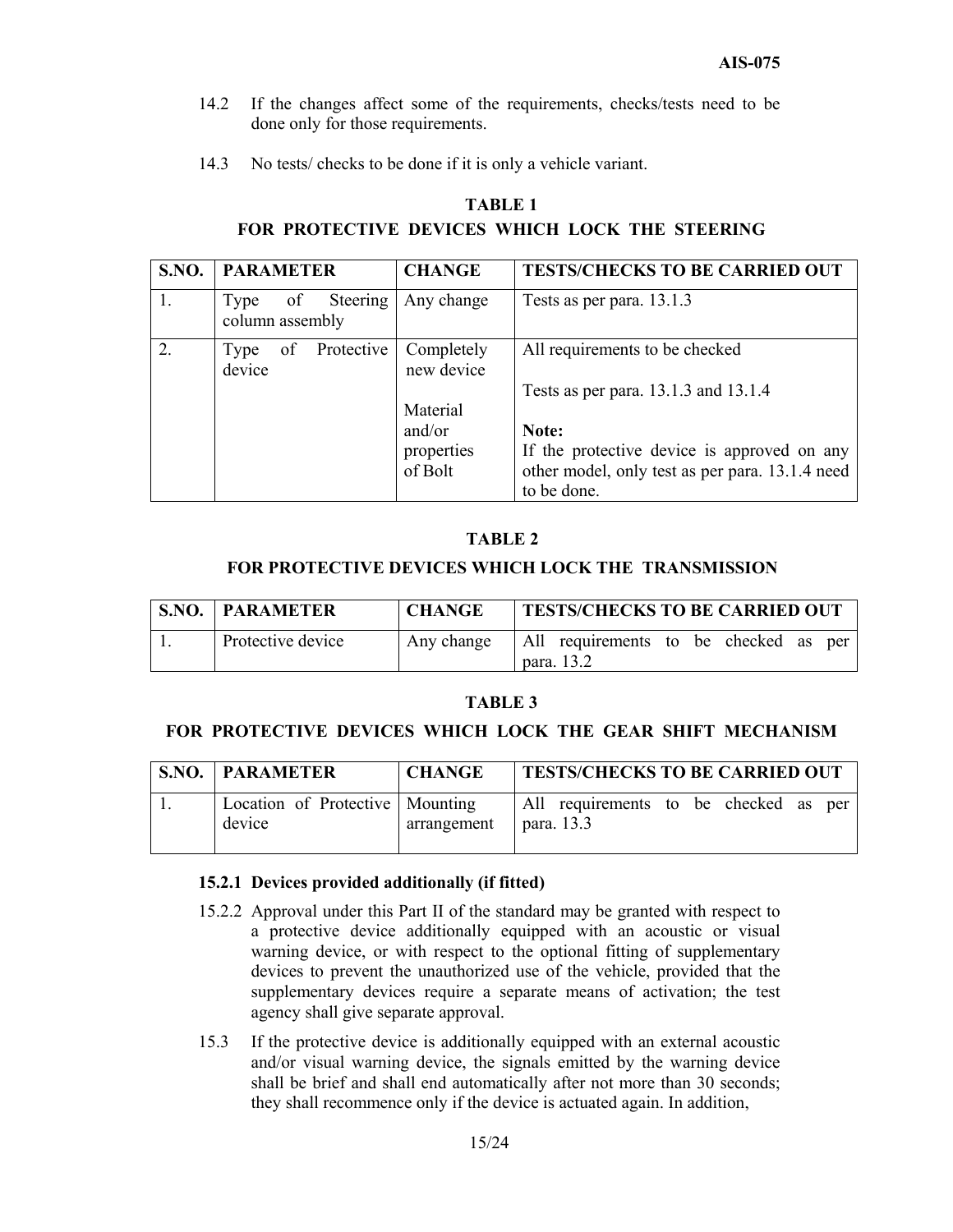- 14.2 If the changes affect some of the requirements, checks/tests need to be done only for those requirements.
- 14.3 No tests/ checks to be done if it is only a vehicle variant.

# **TABLE 1**

# **FOR PROTECTIVE DEVICES WHICH LOCK THE STEERING**

| S.NO. | <b>PARAMETER</b>                          | <b>CHANGE</b>            | <b>TESTS/CHECKS TO BE CARRIED OUT</b>           |
|-------|-------------------------------------------|--------------------------|-------------------------------------------------|
|       | Steering<br>of<br>Type<br>column assembly | Any change               | Tests as per para. 13.1.3                       |
| 2.    | of Protective<br>Type<br>device           | Completely<br>new device | All requirements to be checked                  |
|       |                                           |                          | Tests as per para. 13.1.3 and 13.1.4            |
|       |                                           | Material                 |                                                 |
|       |                                           | and/or                   | Note:                                           |
|       |                                           | properties               | If the protective device is approved on any     |
|       |                                           | of Bolt                  | other model, only test as per para. 13.1.4 need |
|       |                                           |                          | to be done.                                     |

## **TABLE 2**

#### **FOR PROTECTIVE DEVICES WHICH LOCK THE TRANSMISSION**

| <b>S.NO.   PARAMETER</b> | <b>CHANGE</b> | <b>TESTS/CHECKS TO BE CARRIED OUT</b>               |
|--------------------------|---------------|-----------------------------------------------------|
| Protective device        | Any change    | All requirements to be checked as per<br>para, 13.2 |

## **TABLE 3**

# **FOR PROTECTIVE DEVICES WHICH LOCK THE GEAR SHIFT MECHANISM**

| <b>S.NO.   PARAMETER</b>                    | <b>CHANGE</b> | <b>TESTS/CHECKS TO BE CARRIED OUT</b>               |
|---------------------------------------------|---------------|-----------------------------------------------------|
| Location of Protective   Mounting<br>device | arrangement   | All requirements to be checked as per<br>para. 13.3 |

#### **15.2.1 Devices provided additionally (if fitted)**

- 15.2.2 Approval under this Part II of the standard may be granted with respect to a protective device additionally equipped with an acoustic or visual warning device, or with respect to the optional fitting of supplementary devices to prevent the unauthorized use of the vehicle, provided that the supplementary devices require a separate means of activation; the test agency shall give separate approval.
- 15.3 If the protective device is additionally equipped with an external acoustic and/or visual warning device, the signals emitted by the warning device shall be brief and shall end automatically after not more than 30 seconds; they shall recommence only if the device is actuated again. In addition,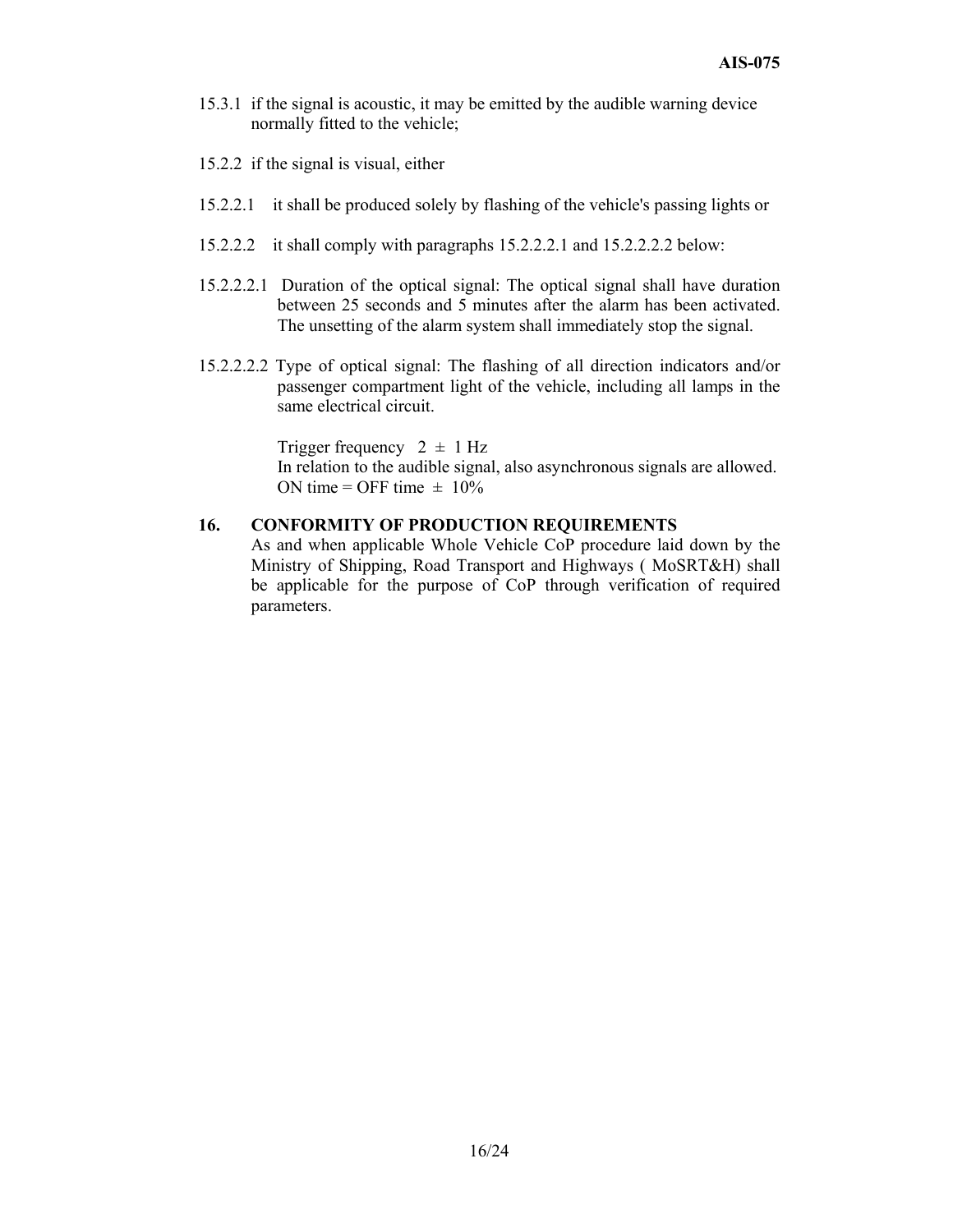- 15.3.1 if the signal is acoustic, it may be emitted by the audible warning device normally fitted to the vehicle;
- 15.2.2 if the signal is visual, either
- 15.2.2.1 it shall be produced solely by flashing of the vehicle's passing lights or
- 15.2.2.2 it shall comply with paragraphs 15.2.2.2.1 and 15.2.2.2.2 below:
- 15.2.2.2.1 Duration of the optical signal: The optical signal shall have duration between 25 seconds and 5 minutes after the alarm has been activated. The unsetting of the alarm system shall immediately stop the signal.
- 15.2.2.2.2 Type of optical signal: The flashing of all direction indicators and/or passenger compartment light of the vehicle, including all lamps in the same electrical circuit.

Trigger frequency  $2 \pm 1$  Hz In relation to the audible signal, also asynchronous signals are allowed. ON time = OFF time  $\pm$  10%

# **16. CONFORMITY OF PRODUCTION REQUIREMENTS**

As and when applicable Whole Vehicle CoP procedure laid down by the Ministry of Shipping, Road Transport and Highways ( MoSRT&H) shall be applicable for the purpose of CoP through verification of required parameters.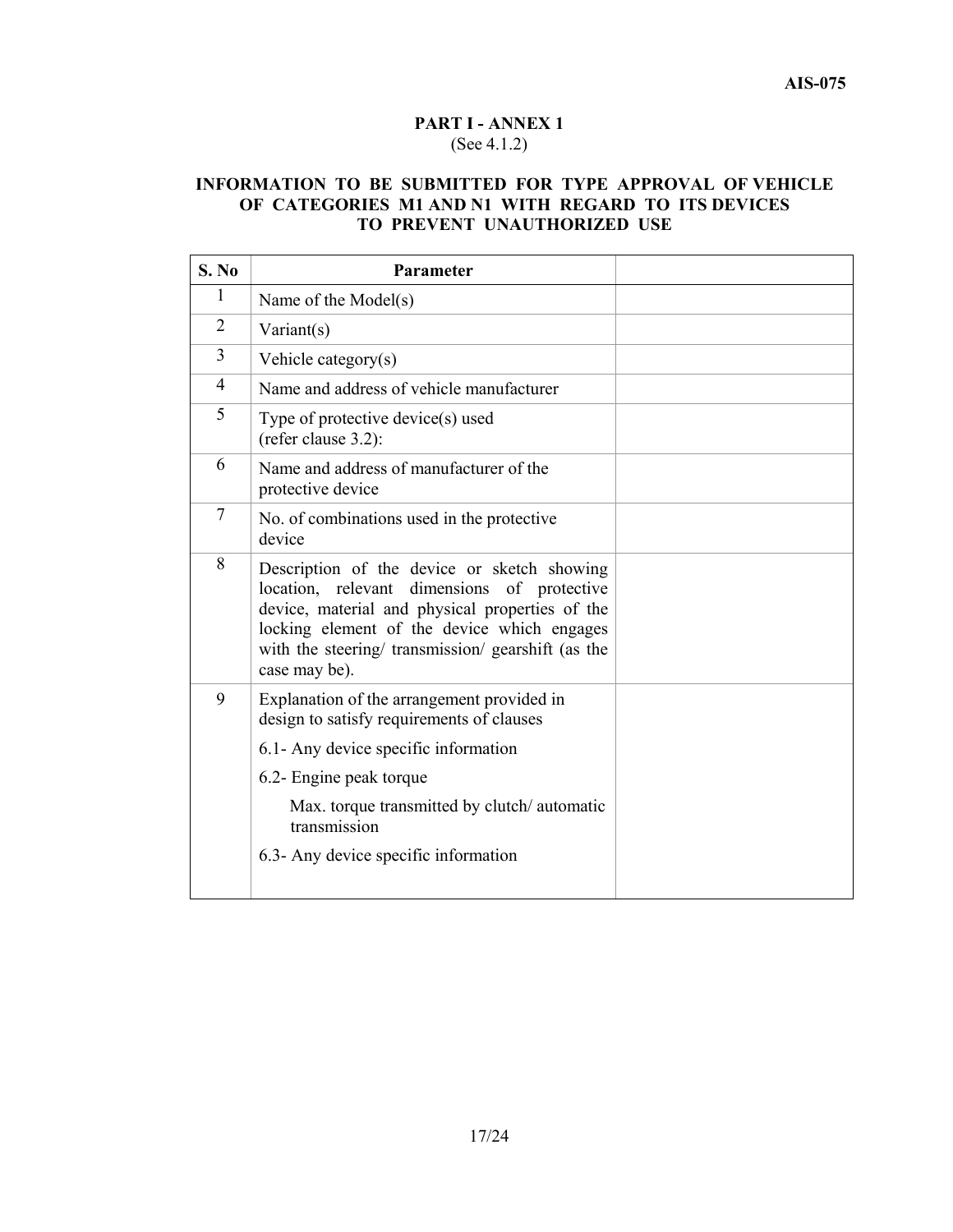# **PART I - ANNEX 1**  (See 4.1.2)

# **INFORMATION TO BE SUBMITTED FOR TYPE APPROVAL OF VEHICLE OF CATEGORIES M1 AND N1 WITH REGARD TO ITS DEVICES TO PREVENT UNAUTHORIZED USE**

| S. No          | Parameter                                                                                                                                                                                                                                                           |  |
|----------------|---------------------------------------------------------------------------------------------------------------------------------------------------------------------------------------------------------------------------------------------------------------------|--|
| $\mathbf{1}$   | Name of the Model(s)                                                                                                                                                                                                                                                |  |
| $\overline{2}$ | Variant(s)                                                                                                                                                                                                                                                          |  |
| $\overline{3}$ | Vehicle category $(s)$                                                                                                                                                                                                                                              |  |
| $\overline{4}$ | Name and address of vehicle manufacturer                                                                                                                                                                                                                            |  |
| 5              | Type of protective device(s) used<br>(refer clause 3.2):                                                                                                                                                                                                            |  |
| 6              | Name and address of manufacturer of the<br>protective device                                                                                                                                                                                                        |  |
| $\overline{7}$ | No. of combinations used in the protective<br>device                                                                                                                                                                                                                |  |
| 8              | Description of the device or sketch showing<br>location, relevant dimensions of protective<br>device, material and physical properties of the<br>locking element of the device which engages<br>with the steering/ transmission/ gearshift (as the<br>case may be). |  |
| 9              | Explanation of the arrangement provided in<br>design to satisfy requirements of clauses                                                                                                                                                                             |  |
|                | 6.1- Any device specific information                                                                                                                                                                                                                                |  |
|                | 6.2- Engine peak torque                                                                                                                                                                                                                                             |  |
|                | Max. torque transmitted by clutch/automatic<br>transmission                                                                                                                                                                                                         |  |
|                | 6.3- Any device specific information                                                                                                                                                                                                                                |  |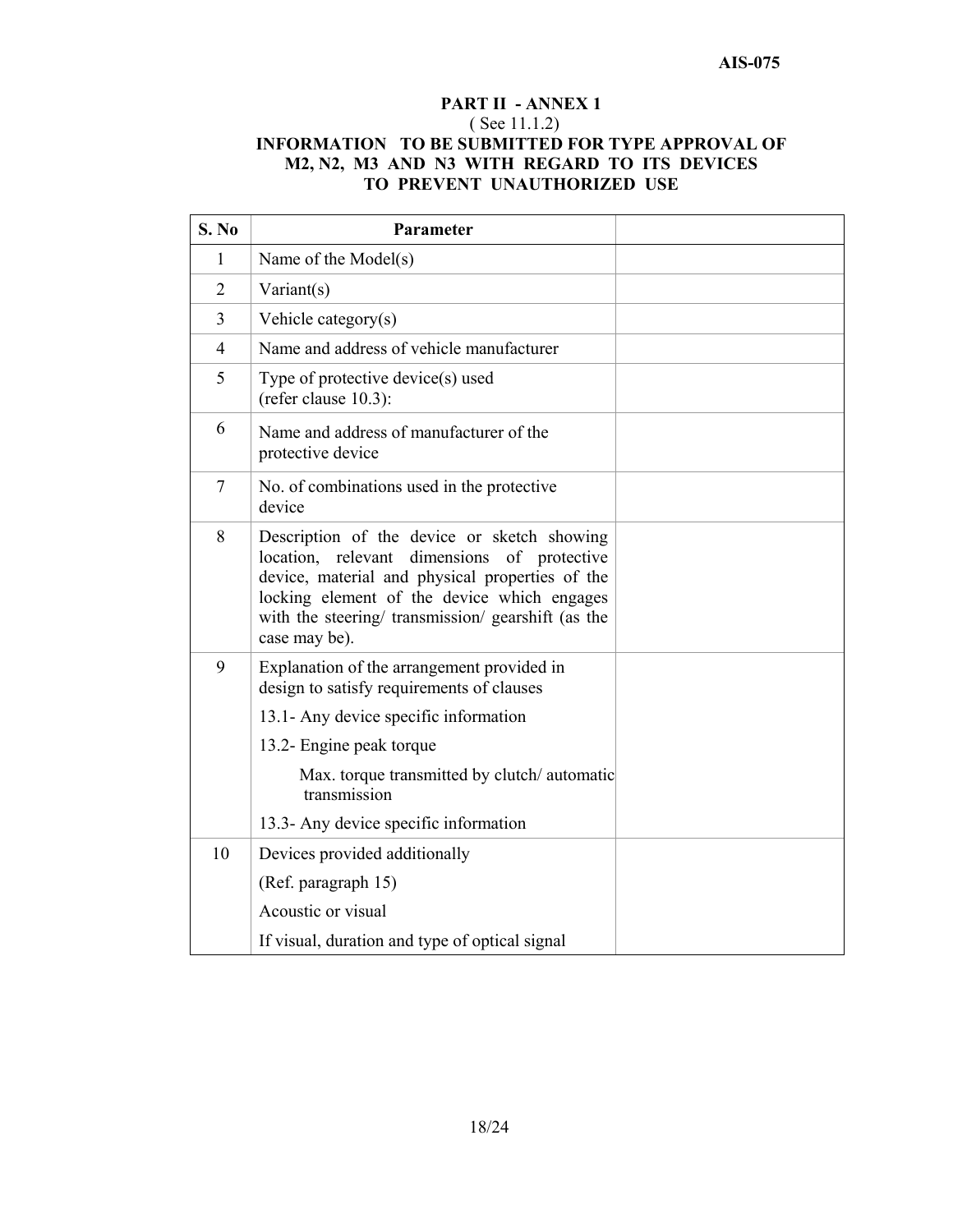#### **AIS-075**

# **PART II - ANNEX 1**  ( See 11.1.2) **INFORMATION TO BE SUBMITTED FOR TYPE APPROVAL OF M2, N2, M3 AND N3 WITH REGARD TO ITS DEVICES TO PREVENT UNAUTHORIZED USE**

| S. No          | Parameter                                                                                                                                                                                                                                                           |  |
|----------------|---------------------------------------------------------------------------------------------------------------------------------------------------------------------------------------------------------------------------------------------------------------------|--|
| 1              | Name of the Model(s)                                                                                                                                                                                                                                                |  |
| $\overline{2}$ | Variant(s)                                                                                                                                                                                                                                                          |  |
| 3              | Vehicle category(s)                                                                                                                                                                                                                                                 |  |
| $\overline{4}$ | Name and address of vehicle manufacturer                                                                                                                                                                                                                            |  |
| 5              | Type of protective device(s) used<br>(refer clause 10.3):                                                                                                                                                                                                           |  |
| 6              | Name and address of manufacturer of the<br>protective device                                                                                                                                                                                                        |  |
| $\tau$         | No. of combinations used in the protective<br>device                                                                                                                                                                                                                |  |
| 8              | Description of the device or sketch showing<br>location, relevant dimensions of protective<br>device, material and physical properties of the<br>locking element of the device which engages<br>with the steering/ transmission/ gearshift (as the<br>case may be). |  |
| 9              | Explanation of the arrangement provided in<br>design to satisfy requirements of clauses                                                                                                                                                                             |  |
|                | 13.1- Any device specific information                                                                                                                                                                                                                               |  |
|                | 13.2- Engine peak torque                                                                                                                                                                                                                                            |  |
|                | Max. torque transmitted by clutch/automatic<br>transmission                                                                                                                                                                                                         |  |
|                | 13.3- Any device specific information                                                                                                                                                                                                                               |  |
| 10             | Devices provided additionally                                                                                                                                                                                                                                       |  |
|                | (Ref. paragraph 15)                                                                                                                                                                                                                                                 |  |
|                | Acoustic or visual                                                                                                                                                                                                                                                  |  |
|                | If visual, duration and type of optical signal                                                                                                                                                                                                                      |  |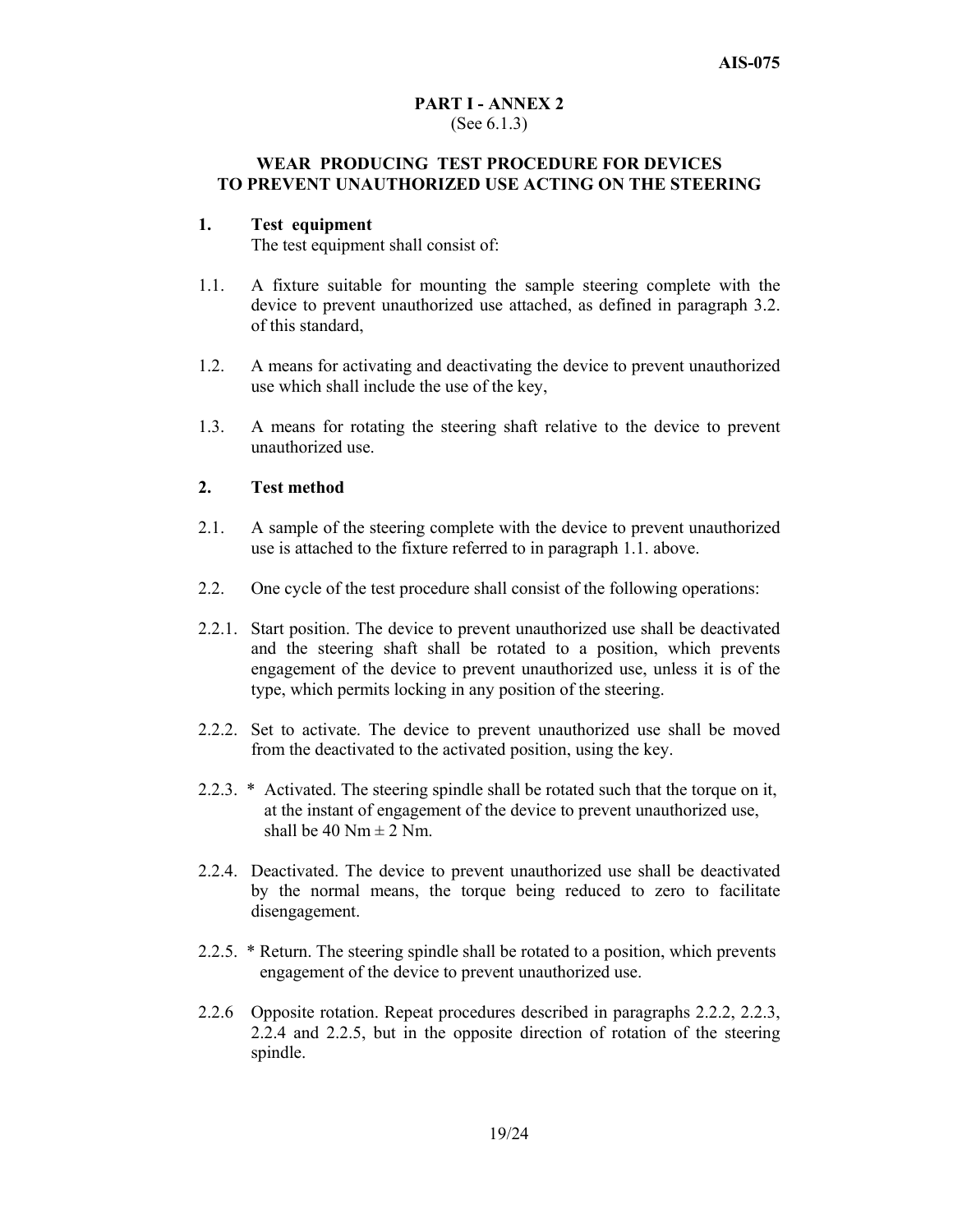# **WEAR PRODUCING TEST PROCEDURE FOR DEVICES TO PREVENT UNAUTHORIZED USE ACTING ON THE STEERING**

#### **1. Test equipment**

The test equipment shall consist of:

- 1.1. A fixture suitable for mounting the sample steering complete with the device to prevent unauthorized use attached, as defined in paragraph 3.2. of this standard,
- 1.2. A means for activating and deactivating the device to prevent unauthorized use which shall include the use of the key,
- 1.3. A means for rotating the steering shaft relative to the device to prevent unauthorized use.

## **2. Test method**

- 2.1. A sample of the steering complete with the device to prevent unauthorized use is attached to the fixture referred to in paragraph 1.1. above.
- 2.2. One cycle of the test procedure shall consist of the following operations:
- 2.2.1. Start position. The device to prevent unauthorized use shall be deactivated and the steering shaft shall be rotated to a position, which prevents engagement of the device to prevent unauthorized use, unless it is of the type, which permits locking in any position of the steering.
- 2.2.2. Set to activate. The device to prevent unauthorized use shall be moved from the deactivated to the activated position, using the key.
- 2.2.3. \* Activated. The steering spindle shall be rotated such that the torque on it, at the instant of engagement of the device to prevent unauthorized use, shall be 40 Nm  $\pm$  2 Nm.
- 2.2.4. Deactivated. The device to prevent unauthorized use shall be deactivated by the normal means, the torque being reduced to zero to facilitate disengagement.
- 2.2.5. \* Return. The steering spindle shall be rotated to a position, which prevents engagement of the device to prevent unauthorized use.
- 2.2.6 Opposite rotation. Repeat procedures described in paragraphs 2.2.2, 2.2.3, 2.2.4 and 2.2.5, but in the opposite direction of rotation of the steering spindle.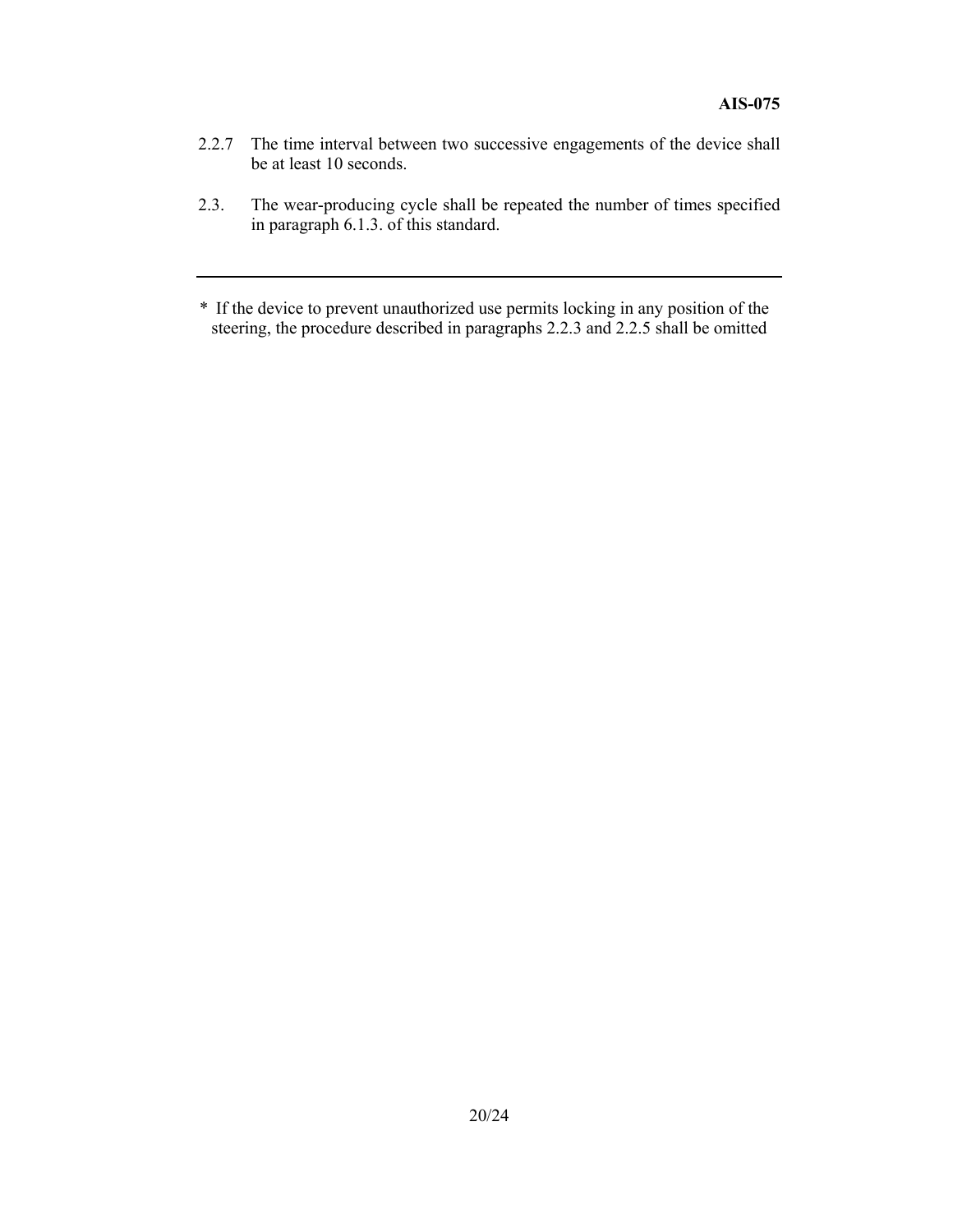- 2.2.7 The time interval between two successive engagements of the device shall be at least 10 seconds.
- 2.3. The wear-producing cycle shall be repeated the number of times specified in paragraph 6.1.3. of this standard.

*<sup>\*</sup>* If the device to prevent unauthorized use permits locking in any position of the steering, the procedure described in paragraphs 2.2.3 and 2.2.5 shall be omitted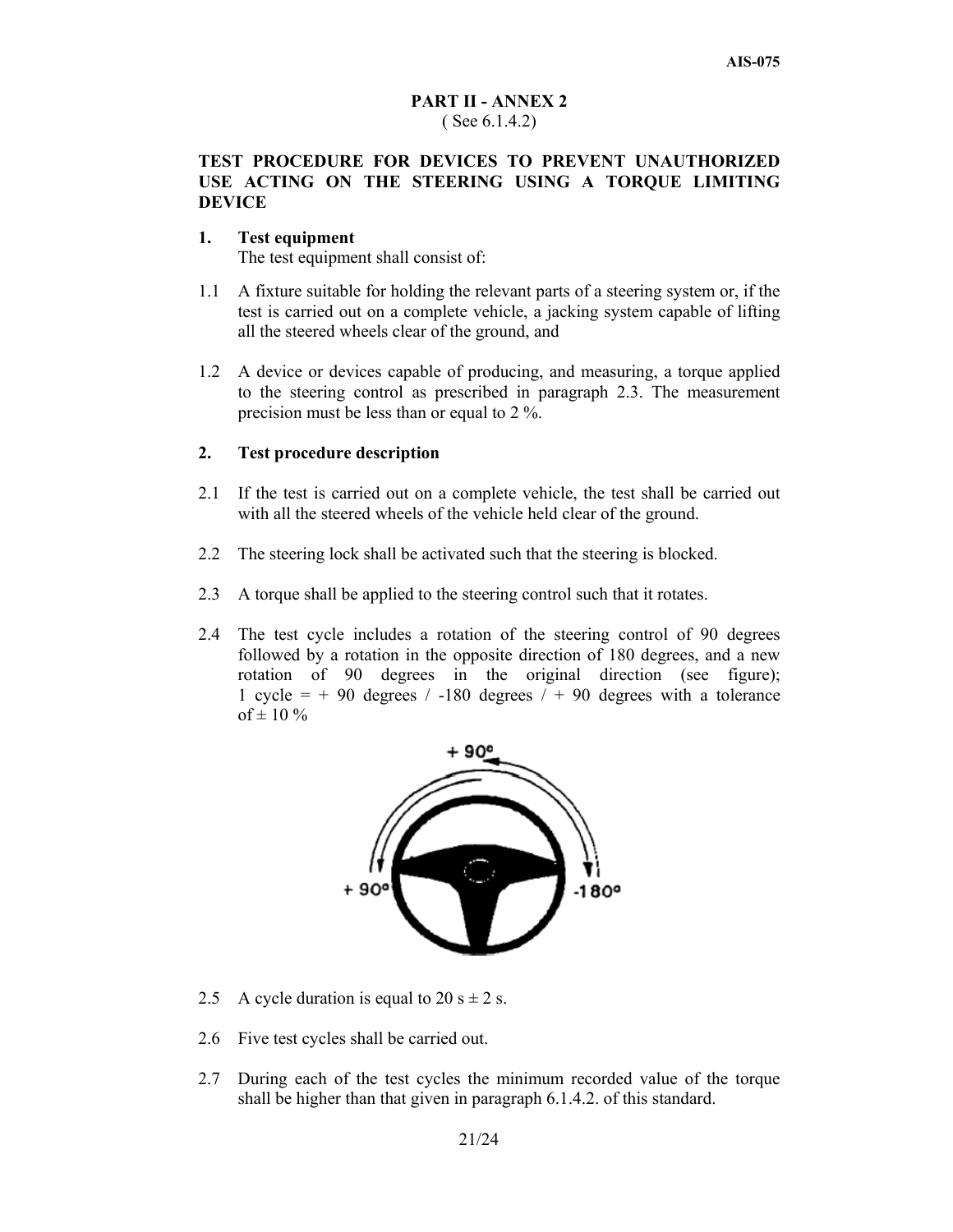# **TEST PROCEDURE FOR DEVICES TO PREVENT UNAUTHORIZED USE ACTING ON THE STEERING USING A TORQUE LIMITING DEVICE**

#### **1. Test equipment**

The test equipment shall consist of:

- 1.1 A fixture suitable for holding the relevant parts of a steering system or, if the test is carried out on a complete vehicle, a jacking system capable of lifting all the steered wheels clear of the ground, and
- 1.2 A device or devices capable of producing, and measuring, a torque applied to the steering control as prescribed in paragraph 2.3. The measurement precision must be less than or equal to 2 %.

## **2. Test procedure description**

- 2.1 If the test is carried out on a complete vehicle, the test shall be carried out with all the steered wheels of the vehicle held clear of the ground.
- 2.2 The steering lock shall be activated such that the steering is blocked.
- 2.3 A torque shall be applied to the steering control such that it rotates.
- 2.4 The test cycle includes a rotation of the steering control of 90 degrees followed by a rotation in the opposite direction of 180 degrees, and a new rotation of 90 degrees in the original direction (see figure); 1 cycle =  $+$  90 degrees / -180 degrees /  $+$  90 degrees with a tolerance of  $\pm$  10 %



- 2.5 A cycle duration is equal to  $20 s \pm 2 s$ .
- 2.6 Five test cycles shall be carried out.
- 2.7 During each of the test cycles the minimum recorded value of the torque shall be higher than that given in paragraph 6.1.4.2. of this standard.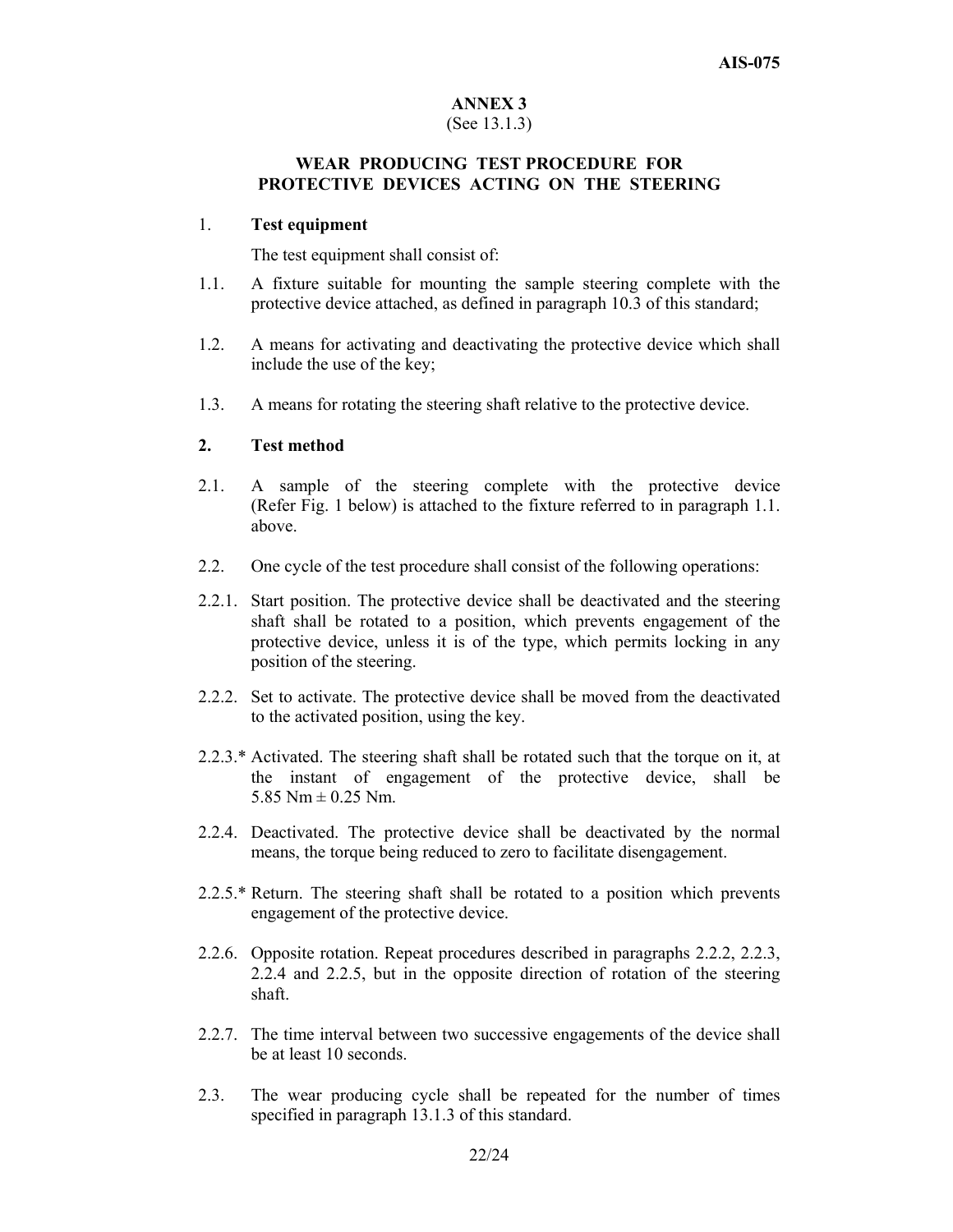#### **ANNEX 3**  (See 13.1.3)

# **WEAR PRODUCING TEST PROCEDURE FOR PROTECTIVE DEVICES ACTING ON THE STEERING**

#### 1. **Test equipment**

The test equipment shall consist of:

- 1.1. A fixture suitable for mounting the sample steering complete with the protective device attached, as defined in paragraph 10.3 of this standard;
- 1.2. A means for activating and deactivating the protective device which shall include the use of the key;
- 1.3. A means for rotating the steering shaft relative to the protective device.

# **2. Test method**

- 2.1. A sample of the steering complete with the protective device (Refer Fig. 1 below) is attached to the fixture referred to in paragraph 1.1. above.
- 2.2. One cycle of the test procedure shall consist of the following operations:
- 2.2.1. Start position. The protective device shall be deactivated and the steering shaft shall be rotated to a position, which prevents engagement of the protective device, unless it is of the type, which permits locking in any position of the steering.
- 2.2.2. Set to activate. The protective device shall be moved from the deactivated to the activated position, using the key.
- 2.2.3.\* Activated. The steering shaft shall be rotated such that the torque on it, at the instant of engagement of the protective device, shall be 5.85 Nm  $\pm$  0.25 Nm.
- 2.2.4. Deactivated. The protective device shall be deactivated by the normal means, the torque being reduced to zero to facilitate disengagement.
- 2.2.5.\* Return. The steering shaft shall be rotated to a position which prevents engagement of the protective device.
- 2.2.6. Opposite rotation. Repeat procedures described in paragraphs 2.2.2, 2.2.3, 2.2.4 and 2.2.5, but in the opposite direction of rotation of the steering shaft.
- 2.2.7. The time interval between two successive engagements of the device shall be at least 10 seconds.
- 2.3. The wear producing cycle shall be repeated for the number of times specified in paragraph 13.1.3 of this standard.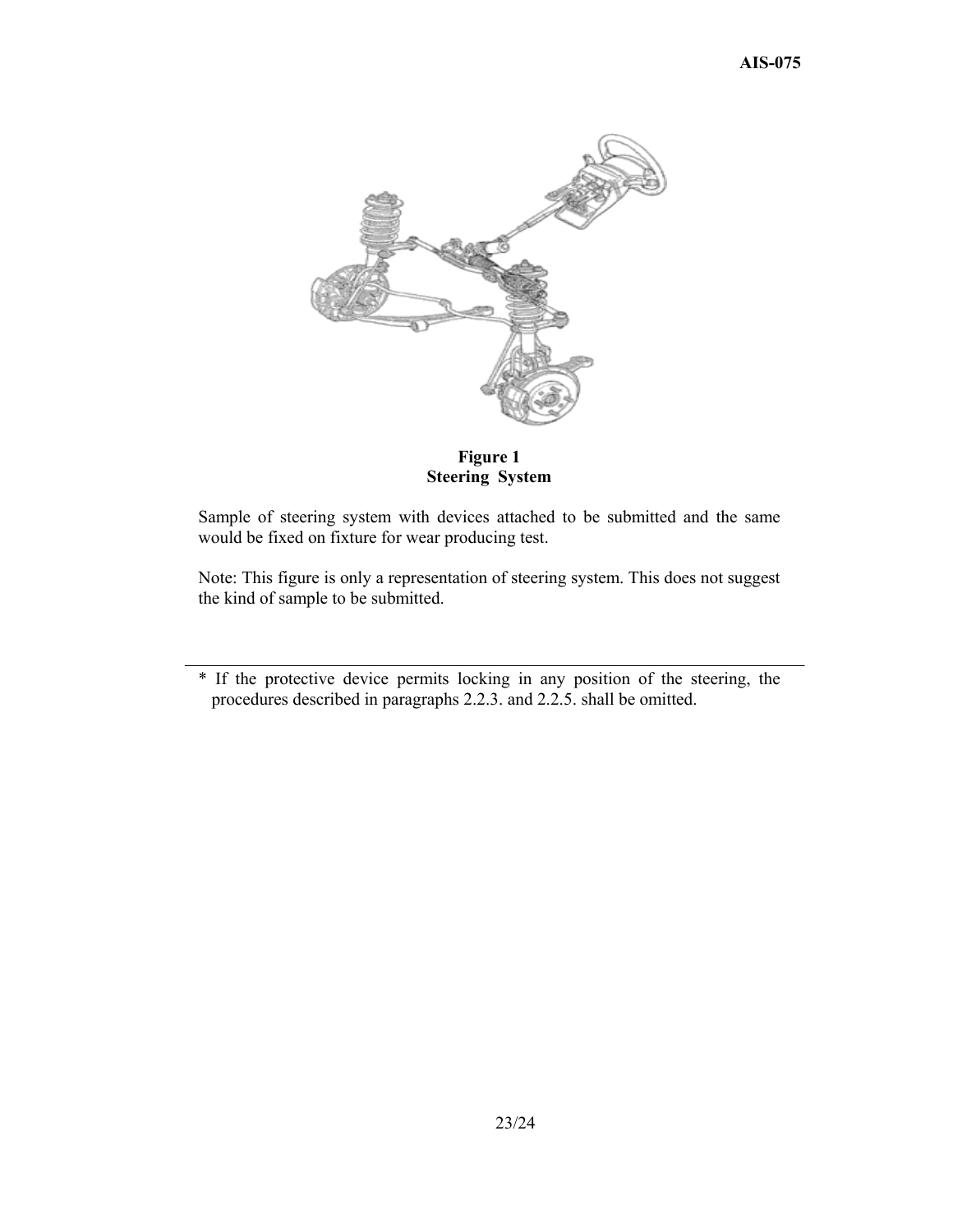

**Figure 1 Steering System** 

Sample of steering system with devices attached to be submitted and the same would be fixed on fixture for wear producing test.

Note: This figure is only a representation of steering system. This does not suggest the kind of sample to be submitted.

\* If the protective device permits locking in any position of the steering, the procedures described in paragraphs 2.2.3. and 2.2.5. shall be omitted.